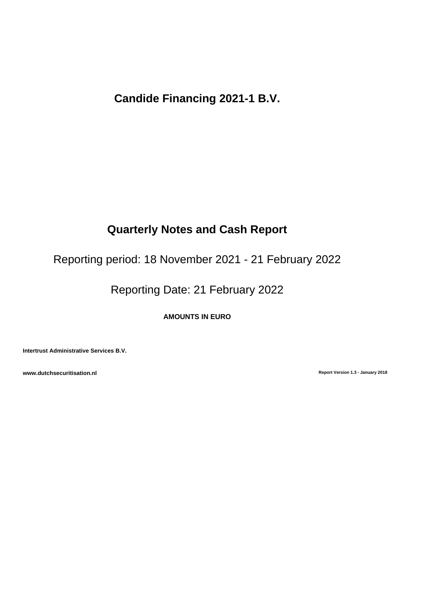**Candide Financing 2021-1 B.V.**

# **Quarterly Notes and Cash Report**

Reporting period: 18 November 2021 - 21 February 2022

Reporting Date: 21 February 2022

**AMOUNTS IN EURO**

**Intertrust Administrative Services B.V.**

**www.dutchsecuritisation.nl Report Version 1.3 - January 2018**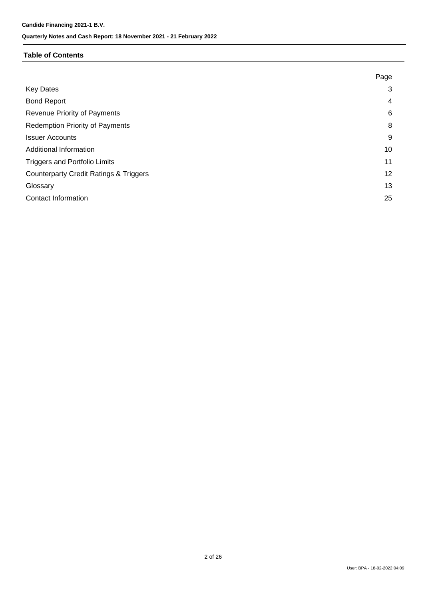# **Table of Contents**

|                                                   | Page            |
|---------------------------------------------------|-----------------|
| <b>Key Dates</b>                                  | 3               |
| <b>Bond Report</b>                                | $\overline{4}$  |
| Revenue Priority of Payments                      | 6               |
| <b>Redemption Priority of Payments</b>            | 8               |
| <b>Issuer Accounts</b>                            | 9               |
| Additional Information                            | 10              |
| <b>Triggers and Portfolio Limits</b>              | 11              |
| <b>Counterparty Credit Ratings &amp; Triggers</b> | 12 <sup>°</sup> |
| Glossary                                          | 13              |
| <b>Contact Information</b>                        | 25              |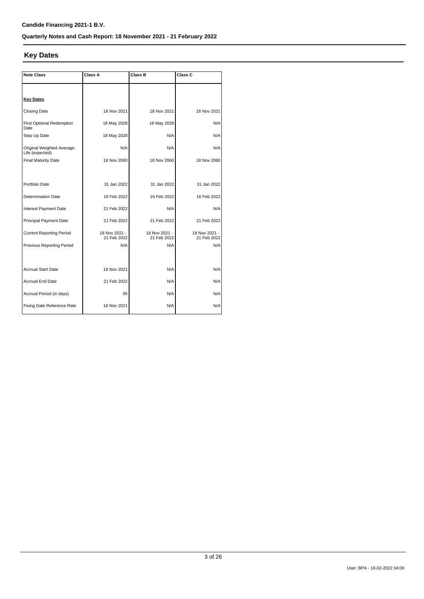## **Key Dates**

| <b>Note Class</b>                            | Class A                      | <b>Class B</b>               | Class C                      |
|----------------------------------------------|------------------------------|------------------------------|------------------------------|
|                                              |                              |                              |                              |
| <b>Key Dates</b>                             |                              |                              |                              |
| <b>Closing Date</b>                          | 18 Nov 2021                  | 18 Nov 2021                  | 18 Nov 2021                  |
| <b>First Optional Redemption</b><br>Date     | 18 May 2028                  | 18 May 2028                  | N/A                          |
| Step Up Date                                 | 18 May 2028                  | N/A                          | N/A                          |
| Original Weighted Average<br>Life (expected) | N/A                          | N/A                          | N/A                          |
| <b>Final Maturity Date</b>                   | 18 Nov 2060                  | 18 Nov 2060                  | 18 Nov 2060                  |
|                                              |                              |                              |                              |
| Portfolio Date                               | 31 Jan 2022                  | 31 Jan 2022                  | 31 Jan 2022                  |
| <b>Determination Date</b>                    | 16 Feb 2022                  | 16 Feb 2022                  | 16 Feb 2022                  |
| Interest Payment Date                        | 21 Feb 2022                  | N/A                          | N/A                          |
| Principal Payment Date                       | 21 Feb 2022                  | 21 Feb 2022                  | 21 Feb 2022                  |
| <b>Current Reporting Period</b>              | 18 Nov 2021 -<br>21 Feb 2022 | 18 Nov 2021 -<br>21 Feb 2022 | 18 Nov 2021 -<br>21 Feb 2022 |
| Previous Reporting Period                    | N/A                          | N/A                          | N/A                          |
|                                              |                              |                              |                              |
| <b>Accrual Start Date</b>                    | 18 Nov 2021                  | N/A                          | N/A                          |
| <b>Accrual End Date</b>                      | 21 Feb 2022                  | N/A                          | N/A                          |
| Accrual Period (in days)                     | 95                           | N/A                          | N/A                          |
| Fixing Date Reference Rate                   | 18 Nov 2021                  | N/A                          | N/A                          |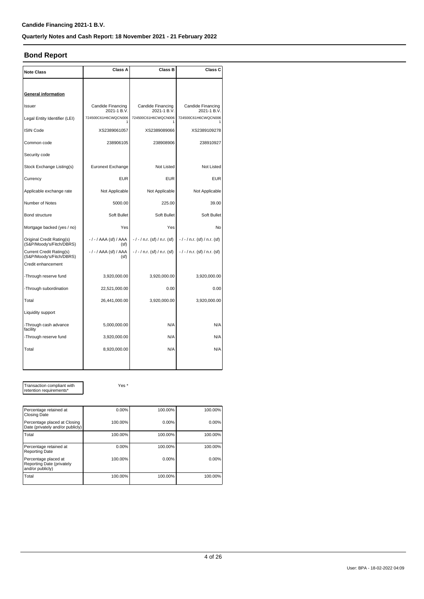#### **Bond Report**

| <b>Note Class</b>                                     | Class A                            | Class B                          | Class C                          |
|-------------------------------------------------------|------------------------------------|----------------------------------|----------------------------------|
|                                                       |                                    |                                  |                                  |
| <b>General information</b>                            |                                    |                                  |                                  |
| Issuer                                                | Candide Financing<br>2021-1 B.V.   | Candide Financing<br>2021-1 B.V. | Candide Financing<br>2021-1 B.V. |
| Legal Entity Identifier (LEI)                         | 724500C61H6CWQCN006                | 724500C61H6CWQCN006              | 724500C61H6CWQCN006              |
| <b>ISIN Code</b>                                      | XS2389061057                       | XS2389089066                     | XS2389109278                     |
| Common code                                           | 238906105                          | 238908906                        | 238910927                        |
| Security code                                         |                                    |                                  |                                  |
| Stock Exchange Listing(s)                             | Euronext Exchange                  | Not Listed                       | Not Listed                       |
| Currency                                              | <b>EUR</b>                         | <b>EUR</b>                       | <b>EUR</b>                       |
| Applicable exchange rate                              | Not Applicable                     | Not Applicable                   | Not Applicable                   |
| Number of Notes                                       | 5000.00                            | 225.00                           | 39.00                            |
| Bond structure                                        | Soft Bullet                        | Soft Bullet                      | Soft Bullet                      |
| Mortgage backed (yes / no)                            | Yes                                | Yes                              | No                               |
| Original Credit Rating(s)<br>(S&P/Moody's/Fitch/DBRS) | -/-/AAA (sf) / AAA<br>(sf)         | $-/-/n.r.$ (sf) / n.r. (sf)      | $-/-/$ n.r. (sf) / n.r. (sf)     |
| Current Credit Rating(s)<br>(S&P/Moody's/Fitch/DBRS)  | $-$ / $-$ / AAA (sf) / AAA<br>(sf) | -/-/n.r. (sf)/n.r. (sf)          | -/-/ n.r. (sf) / n.r. (sf)       |
| Credit enhancement                                    |                                    |                                  |                                  |
| -Through reserve fund                                 | 3,920,000.00                       | 3,920,000.00                     | 3,920,000.00                     |
| -Through subordination                                | 22,521,000.00                      | 0.00                             | 0.00                             |
| Total                                                 | 26,441,000.00                      | 3,920,000.00                     | 3,920,000.00                     |
| Liquidity support                                     |                                    |                                  |                                  |
| -Through cash advance<br>facility                     | 5,000,000.00                       | N/A                              | N/A                              |
| -Through reserve fund                                 | 3,920,000.00                       | N/A                              | N/A                              |
| Total                                                 | 8,920,000.00                       | N/A                              | N/A                              |
|                                                       |                                    |                                  |                                  |

Transaction compliant with retention requirements\*

Yes \*

| Percentage retained at<br><b>Closing Date</b>                         | 0.00%   | 100.00%  | 100.00%  |
|-----------------------------------------------------------------------|---------|----------|----------|
| Percentage placed at Closing<br>Date (privately and/or publicly)      | 100.00% | 0.00%    | $0.00\%$ |
| Total                                                                 | 100.00% | 100.00%  | 100.00%  |
| Percentage retained at<br><b>Reporting Date</b>                       | 0.00%   | 100.00%  | 100.00%  |
| Percentage placed at<br>Reporting Date (privately<br>and/or publicly) | 100.00% | $0.00\%$ | $0.00\%$ |
| Total                                                                 | 100.00% | 100.00%  | 100.00%  |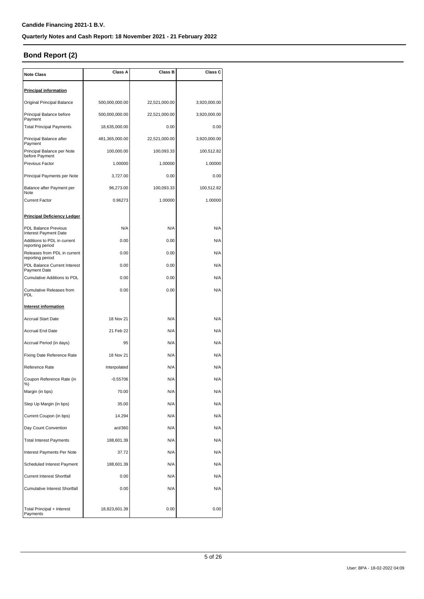# **Bond Report (2)**

| <b>Note Class</b>                                | Class A        | Class B       | Class C      |
|--------------------------------------------------|----------------|---------------|--------------|
| <b>Principal information</b>                     |                |               |              |
| Original Principal Balance                       | 500,000,000.00 | 22,521,000.00 | 3,920,000.00 |
| Principal Balance before                         | 500,000,000.00 | 22,521,000.00 | 3,920,000.00 |
| Payment<br><b>Total Principal Payments</b>       | 18,635,000.00  | 0.00          | 0.00         |
| Principal Balance after                          | 481,365,000.00 | 22,521,000.00 | 3,920,000.00 |
| Payment<br>Principal Balance per Note            | 100,000.00     | 100,093.33    | 100,512.82   |
| before Payment<br>Previous Factor                | 1.00000        | 1.00000       | 1.00000      |
| Principal Payments per Note                      | 3,727.00       | 0.00          | 0.00         |
| Balance after Payment per                        | 96,273.00      | 100,093.33    | 100,512.82   |
| Note<br><b>Current Factor</b>                    | 0.96273        | 1.00000       | 1.00000      |
|                                                  |                |               |              |
| <b>Principal Deficiency Ledger</b>               |                |               |              |
| PDL Balance Previous<br>Interest Payment Date    | N/A            | N/A           | N/A          |
| Additions to PDL in current<br>reporting period  | 0.00           | 0.00          | N/A          |
| Releases from PDL in current<br>reporting period | 0.00           | 0.00          | N/A          |
| PDL Balance Current Interest<br>Payment Date     | 0.00           | 0.00          | N/A          |
| Cumulative Additions to PDL                      | 0.00           | 0.00          | N/A          |
| Cumulative Releases from<br><b>PDL</b>           | 0.00           | 0.00          | N/A          |
| <b>Interest information</b>                      |                |               |              |
| <b>Accrual Start Date</b>                        | 18 Nov 21      | N/A           | N/A          |
| <b>Accrual End Date</b>                          | 21 Feb 22      | N/A           | N/A          |
| Accrual Period (in days)                         | 95             | N/A           | N/A          |
| Fixing Date Reference Rate                       | 18 Nov 21      | N/A           | N/A          |
| Reference Rate                                   | Interpolated   | N/A           | N/A          |
| Coupon Reference Rate (in<br>%)                  | $-0.55706$     | N/A           | N/A          |
| Margin (in bps)                                  | 70.00          | N/A           | N/A          |
| Step Up Margin (in bps)                          | 35.00          | N/A           | N/A          |
| Current Coupon (in bps)                          | 14.294         | N/A           | N/A          |
| Day Count Convention                             | act/360        | N/A           | N/A          |
| <b>Total Interest Payments</b>                   | 188,601.39     | N/A           | N/A          |
| Interest Payments Per Note                       | 37.72          | N/A           | N/A          |
| Scheduled Interest Payment                       | 188,601.39     | N/A           | N/A          |
| <b>Current Interest Shortfall</b>                | 0.00           | N/A           | N/A          |
| <b>Cumulative Interest Shortfall</b>             | 0.00           | N/A           | N/A          |
| Total Principal + Interest<br>Payments           | 18,823,601.39  | 0.00          | 0.00         |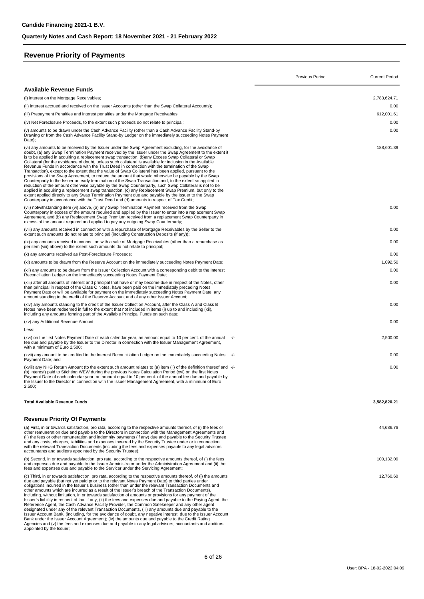#### **Revenue Priority of Payments**

|                                                                                                                                                                                                                                                                                                                                                                                                                                                                                                                                                                                                                                                                                                                                                                                                                                                                                                                                                                                                                                                                                                                                                                                                                                                                                           |       | <b>Previous Period</b> | <b>Current Period</b> |
|-------------------------------------------------------------------------------------------------------------------------------------------------------------------------------------------------------------------------------------------------------------------------------------------------------------------------------------------------------------------------------------------------------------------------------------------------------------------------------------------------------------------------------------------------------------------------------------------------------------------------------------------------------------------------------------------------------------------------------------------------------------------------------------------------------------------------------------------------------------------------------------------------------------------------------------------------------------------------------------------------------------------------------------------------------------------------------------------------------------------------------------------------------------------------------------------------------------------------------------------------------------------------------------------|-------|------------------------|-----------------------|
| <b>Available Revenue Funds</b>                                                                                                                                                                                                                                                                                                                                                                                                                                                                                                                                                                                                                                                                                                                                                                                                                                                                                                                                                                                                                                                                                                                                                                                                                                                            |       |                        |                       |
| (i) interest on the Mortgage Receivables;                                                                                                                                                                                                                                                                                                                                                                                                                                                                                                                                                                                                                                                                                                                                                                                                                                                                                                                                                                                                                                                                                                                                                                                                                                                 |       |                        | 2,783,624.71          |
| (ii) interest accrued and received on the Issuer Accounts (other than the Swap Collateral Accounts);                                                                                                                                                                                                                                                                                                                                                                                                                                                                                                                                                                                                                                                                                                                                                                                                                                                                                                                                                                                                                                                                                                                                                                                      |       |                        | 0.00                  |
| (iii) Prepayment Penalties and interest penalties under the Mortgage Receivables;                                                                                                                                                                                                                                                                                                                                                                                                                                                                                                                                                                                                                                                                                                                                                                                                                                                                                                                                                                                                                                                                                                                                                                                                         |       |                        | 612,001.61            |
| (iv) Net Foreclosure Proceeds, to the extent such proceeds do not relate to principal;                                                                                                                                                                                                                                                                                                                                                                                                                                                                                                                                                                                                                                                                                                                                                                                                                                                                                                                                                                                                                                                                                                                                                                                                    |       |                        | 0.00                  |
| (v) amounts to be drawn under the Cash Advance Facility (other than a Cash Advance Facility Stand-by<br>Drawing or from the Cash Advance Facility Stand-by Ledger on the immediately succeeding Notes Payment<br>Date);                                                                                                                                                                                                                                                                                                                                                                                                                                                                                                                                                                                                                                                                                                                                                                                                                                                                                                                                                                                                                                                                   |       |                        | 0.00                  |
| (vi) any amounts to be received by the Issuer under the Swap Agreement excluding, for the avoidance of<br>doubt, (a) any Swap Termination Payment received by the Issuer under the Swap Agreement to the extent it<br>is to be applied in acquiring a replacement swap transaction, (b)any Excess Swap Collateral or Swap<br>Collateral (for the avoidance of doubt, unless such collateral is available for inclusion in the Available<br>Revenue Funds in accordance with the Trust Deed in connection with the termination of the Swap<br>Transaction), except to the extent that the value of Swap Collateral has been applied, pursuant to the<br>provisions of the Swap Agreement, to reduce the amount that would otherwise be payable by the Swap<br>Counterparty to the Issuer on early termination of the Swap Transaction and, to the extent so applied in<br>reduction of the amount otherwise payable by the Swap Counterparty, such Swap Collateral is not to be<br>applied in acquiring a replacement swap transaction, (c) any Replacement Swap Premium, but only to the<br>extent applied directly to any Swap Termination Payment due and payable by the Issuer to the Swap<br>Counterparty in accordance with the Trust Deed and (d) amounts in respect of Tax Credit; |       |                        | 188,601.39            |
| (vii) notwithstanding item (vi) above, (a) any Swap Termination Payment received from the Swap<br>Counterparty in excess of the amount required and applied by the Issuer to enter into a replacement Swap<br>Agreement, and (b) any Replacement Swap Premium received from a replacement Swap Counterparty in<br>excess of the amount required and applied to pay any outgoing Swap Counterparty;                                                                                                                                                                                                                                                                                                                                                                                                                                                                                                                                                                                                                                                                                                                                                                                                                                                                                        |       |                        | 0.00                  |
| (viii) any amounts received in connection with a repurchase of Mortgage Receivables by the Seller to the<br>extent such amounts do not relate to principal (including Construction Deposits (if any));                                                                                                                                                                                                                                                                                                                                                                                                                                                                                                                                                                                                                                                                                                                                                                                                                                                                                                                                                                                                                                                                                    |       |                        | 0.00                  |
| (ix) any amounts received in connection with a sale of Mortgage Receivables (other than a repurchase as<br>per item (viii) above) to the extent such amounts do not relate to principal;                                                                                                                                                                                                                                                                                                                                                                                                                                                                                                                                                                                                                                                                                                                                                                                                                                                                                                                                                                                                                                                                                                  |       |                        | 0.00                  |
| (x) any amounts received as Post-Foreclosure Proceeds;                                                                                                                                                                                                                                                                                                                                                                                                                                                                                                                                                                                                                                                                                                                                                                                                                                                                                                                                                                                                                                                                                                                                                                                                                                    |       |                        | 0.00                  |
| (xi) amounts to be drawn from the Reserve Account on the immediately succeeding Notes Payment Date;                                                                                                                                                                                                                                                                                                                                                                                                                                                                                                                                                                                                                                                                                                                                                                                                                                                                                                                                                                                                                                                                                                                                                                                       |       |                        | 1,092.50              |
| (xii) any amounts to be drawn from the Issuer Collection Account with a corresponding debit to the Interest<br>Reconciliation Ledger on the immediately succeeding Notes Payment Date;                                                                                                                                                                                                                                                                                                                                                                                                                                                                                                                                                                                                                                                                                                                                                                                                                                                                                                                                                                                                                                                                                                    |       |                        | 0.00                  |
| (xiii) after all amounts of interest and principal that have or may become due in respect of the Notes, other<br>than principal in respect of the Class C Notes, have been paid on the immediately preceding Notes<br>Payment Date or will be available for payment on the immediately succeeding Notes Payment Date, any<br>amount standing to the credit of the Reserve Account and of any other Issuer Account;                                                                                                                                                                                                                                                                                                                                                                                                                                                                                                                                                                                                                                                                                                                                                                                                                                                                        |       |                        | 0.00                  |
| (xiv) any amounts standing to the credit of the Issuer Collection Account, after the Class A and Class B<br>Notes have been redeemed in full to the extent that not included in items (i) up to and including (xii),<br>including any amounts forming part of the Available Principal Funds on such date;                                                                                                                                                                                                                                                                                                                                                                                                                                                                                                                                                                                                                                                                                                                                                                                                                                                                                                                                                                                 |       |                        | 0.00                  |
| (xv) any Additional Revenue Amount;                                                                                                                                                                                                                                                                                                                                                                                                                                                                                                                                                                                                                                                                                                                                                                                                                                                                                                                                                                                                                                                                                                                                                                                                                                                       |       |                        | 0.00                  |
| Less:                                                                                                                                                                                                                                                                                                                                                                                                                                                                                                                                                                                                                                                                                                                                                                                                                                                                                                                                                                                                                                                                                                                                                                                                                                                                                     |       |                        |                       |
| (xvi) on the first Notes Payment Date of each calendar year, an amount equal to 10 per cent. of the annual<br>fee due and payable by the Issuer to the Director in connection with the Issuer Management Agreement,<br>with a minimum of Euro 2,500;                                                                                                                                                                                                                                                                                                                                                                                                                                                                                                                                                                                                                                                                                                                                                                                                                                                                                                                                                                                                                                      | $-/-$ |                        | 2,500.00              |
| (xvii) any amount to be credited to the Interest Reconciliation Ledger on the immediately succeeding Notes -/-<br>Payment Date; and                                                                                                                                                                                                                                                                                                                                                                                                                                                                                                                                                                                                                                                                                                                                                                                                                                                                                                                                                                                                                                                                                                                                                       |       |                        | 0.00                  |
| (xviii) any NHG Return Amount (to the extent such amount relates to (a) item (ii) of the definition thereof and -/-<br>(b) interest) paid to Stichting WEW during the previous Notes Calculation Period, (xvi) on the first Notes<br>Payment Date of each calendar year, an amount equal to 10 per cent. of the annual fee due and payable by<br>the Issuer to the Director in connection with the Issuer Management Agreement, with a minimum of Euro<br>$2,500$ ;                                                                                                                                                                                                                                                                                                                                                                                                                                                                                                                                                                                                                                                                                                                                                                                                                       |       |                        | 0.00                  |
| <b>Total Available Revenue Funds</b>                                                                                                                                                                                                                                                                                                                                                                                                                                                                                                                                                                                                                                                                                                                                                                                                                                                                                                                                                                                                                                                                                                                                                                                                                                                      |       |                        | 3,582,820.21          |
| <b>Revenue Priority Of Payments</b>                                                                                                                                                                                                                                                                                                                                                                                                                                                                                                                                                                                                                                                                                                                                                                                                                                                                                                                                                                                                                                                                                                                                                                                                                                                       |       |                        |                       |
| (a) First, in or towards satisfaction, pro rata, according to the respective amounts thereof, of (i) the fees or<br>other remuneration due and payable to the Directors in connection with the Management Agreements and<br>(ii) the fees or other remuneration and indemnity payments (if any) due and payable to the Security Trustee<br>and any costs, charges, liabilities and expenses incurred by the Security Trustee under or in connection<br>with the relevant Transaction Documents (including the fees and expenses payable to any legal advisors,<br>accountants and auditors appointed by the Security Trustee);                                                                                                                                                                                                                                                                                                                                                                                                                                                                                                                                                                                                                                                            |       |                        | 44,686.76             |
| (b) Second, in or towards satisfaction, pro rata, according to the respective amounts thereof, of (i) the fees<br>and expenses due and payable to the Issuer Administrator under the Administration Agreement and (ii) the<br>fees and expenses due and payable to the Servicer under the Servicing Agreement;                                                                                                                                                                                                                                                                                                                                                                                                                                                                                                                                                                                                                                                                                                                                                                                                                                                                                                                                                                            |       |                        | 100,132.09            |
| (c) Third, in or towards satisfaction, pro rata, according to the respective amounts thereof, of (i) the amounts<br>due and payable (but not yet paid prior to the relevant Notes Payment Date) to third parties under<br>obligations incurred in the Issuer's business (other than under the relevant Transaction Documents and<br>other amounts which are incurred as a result of the Issuer's breach of the Transaction Documents),<br>including, without limitation, in or towards satisfaction of amounts or provisions for any payment of the<br>Issuer's liability in respect of tax, if any, (ii) the fees and expenses due and payable to the Paying Agent, the<br>Reference Agent, the Cash Advance Facility Provider, the Common Safekeeper and any other agent<br>designated under any of the relevant Transaction Documents, (iii) any amounts due and payable to the<br>Issuer Account Bank, (including, for the avoidance of doubt, any negative interest, due to the Issuer Account<br>Bank under the Issuer Account Agreement); (iv) the amounts due and payable to the Credit Rating<br>Agencies and (v) the fees and expenses due and payable to any legal advisors, accountants and auditors<br>appointed by the Issuer;                                              |       |                        | 12,760.60             |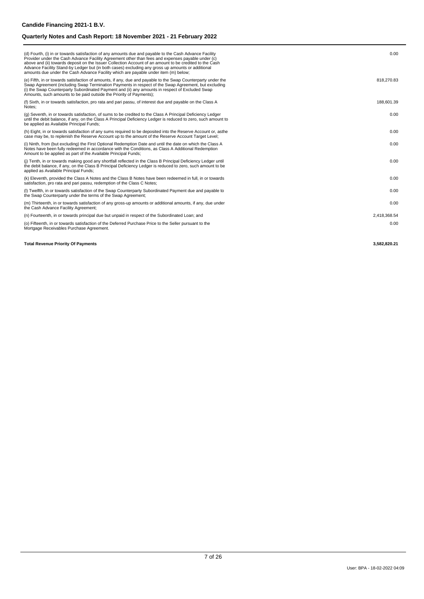| (d) Fourth, (i) in or towards satisfaction of any amounts due and payable to the Cash Advance Facility<br>Provider under the Cash Advance Facility Agreement other than fees and expenses payable under (c)<br>above and (ii) towards deposit on the Issuer Collection Account of an amount to be credited to the Cash<br>Advance Facility Stand-by Ledger but (in both cases) excluding any gross up amounts or additional                                                          | 0.00         |
|--------------------------------------------------------------------------------------------------------------------------------------------------------------------------------------------------------------------------------------------------------------------------------------------------------------------------------------------------------------------------------------------------------------------------------------------------------------------------------------|--------------|
| amounts due under the Cash Advance Facility which are payable under item (m) below;<br>(e) Fifth, in or towards satisfaction of amounts, if any, due and payable to the Swap Counterparty under the<br>Swap Agreement (including Swap Termination Payments in respect of the Swap Agreement, but excluding<br>(i) the Swap Counterparty Subordinated Payment and (ii) any amounts in respect of Excluded Swap<br>Amounts, such amounts to be paid outside the Priority of Payments); | 818.270.83   |
| (f) Sixth, in or towards satisfaction, pro rata and pari passu, of interest due and payable on the Class A<br>Notes;                                                                                                                                                                                                                                                                                                                                                                 | 188,601.39   |
| (q) Seventh, in or towards satisfaction, of sums to be credited to the Class A Principal Deficiency Ledger<br>until the debit balance, if any, on the Class A Principal Deficiency Ledger is reduced to zero, such amount to<br>be applied as Available Principal Funds;                                                                                                                                                                                                             | 0.00         |
| (h) Eight, in or towards satisfaction of any sums required to be deposited into the Reserve Account or, asthe<br>case may be, to replenish the Reserve Account up to the amount of the Reserve Account Target Level:                                                                                                                                                                                                                                                                 | 0.00         |
| (i) Ninth, from (but excluding) the First Optional Redemption Date and until the date on which the Class A<br>Notes have been fully redeemed in accordance with the Conditions, as Class A Additional Redemption<br>Amount to be applied as part of the Available Principal Funds;                                                                                                                                                                                                   | 0.00         |
| (i) Tenth, in or towards making good any shortfall reflected in the Class B Principal Deficiency Ledger until<br>the debit balance, if any, on the Class B Principal Deficiency Ledger is reduced to zero, such amount to be<br>applied as Available Principal Funds;                                                                                                                                                                                                                | 0.00         |
| (k) Eleventh, provided the Class A Notes and the Class B Notes have been redeemed in full, in or towards<br>satisfaction, pro rata and pari passu, redemption of the Class C Notes;                                                                                                                                                                                                                                                                                                  | 0.00         |
| (I) Twelfth, in or towards satisfaction of the Swap Counterparty Subordinated Payment due and payable to<br>the Swap Counterparty under the terms of the Swap Agreement;                                                                                                                                                                                                                                                                                                             | 0.00         |
| (m) Thirteenth, in or towards satisfaction of any gross-up amounts or additional amounts, if any, due under<br>the Cash Advance Facility Agreement;                                                                                                                                                                                                                                                                                                                                  | 0.00         |
| (n) Fourteenth, in or towards principal due but unpaid in respect of the Subordinated Loan; and                                                                                                                                                                                                                                                                                                                                                                                      | 2,418,368.54 |
| (o) Fifteenth, in or towards satisfaction of the Deferred Purchase Price to the Seller pursuant to the<br>Mortgage Receivables Purchase Agreement.                                                                                                                                                                                                                                                                                                                                   | 0.00         |

**Total Revenue Priority Of Payments 3,582,820.21**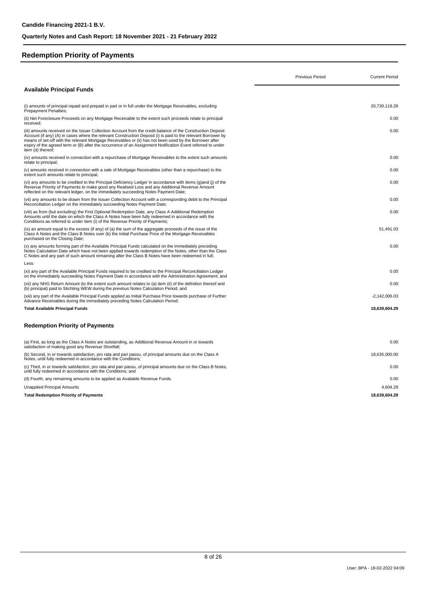# **Redemption Priority of Payments**

|                                                                                                                                                                                                                                                                                                                                                                                                                                                                             | Previous Period | <b>Current Period</b> |
|-----------------------------------------------------------------------------------------------------------------------------------------------------------------------------------------------------------------------------------------------------------------------------------------------------------------------------------------------------------------------------------------------------------------------------------------------------------------------------|-----------------|-----------------------|
| <b>Available Principal Funds</b>                                                                                                                                                                                                                                                                                                                                                                                                                                            |                 |                       |
| (i) amounts of principal repaid and prepaid in part or in full under the Mortgage Receivables, excluding<br><b>Prepayment Penalties;</b>                                                                                                                                                                                                                                                                                                                                    |                 | 20,730,119.29         |
| (ii) Net Foreclosure Proceeds on any Mortgage Receivable to the extent such proceeds relate to principal<br>received:                                                                                                                                                                                                                                                                                                                                                       |                 | 0.00                  |
| (iii) amounts received on the Issuer Collection Account from the credit balance of the Construction Deposit<br>Account (if any) (A) in cases where the relevant Construction Deposit (i) is paid to the relevant Borrower by<br>means of set-off with the relevant Mortgage Receivables or (ii) has not been used by the Borrower after<br>expiry of the agreed term or (B) after the occurrence of an Assignment Notification Event referred to under<br>item (d) thereof; |                 | 0.00                  |
| (iv) amounts received in connection with a repurchase of Mortgage Receivables to the extent such amounts<br>relate to principal;                                                                                                                                                                                                                                                                                                                                            |                 | 0.00                  |
| (v) amounts received in connection with a sale of Mortgage Receivables (other than a repurchase) to the<br>extent such amounts relate to principal,                                                                                                                                                                                                                                                                                                                         |                 | 0.00                  |
| (vi) any amounts to be credited to the Principal Deficiency Ledger in accordance with items (g)and (j) of the<br>Revenue Priority of Payments to make good any Realised Loss and any Additional Revenue Amount<br>reflected on the relevant ledger, on the immediately succeeding Notes Payment Date;                                                                                                                                                                       |                 | 0.00                  |
| (vii) any amounts to be drawn from the Issuer Collection Account with a corresponding debit to the Principal<br>Reconciliation Ledger on the immediately succeeding Notes Payment Date;                                                                                                                                                                                                                                                                                     |                 | 0.00                  |
| (viii) as from (but excluding) the First Optional Redemption Date, any Class A Additional Redemption<br>Amounts until the date on which the Class A Notes have been fully redeemed in accordance with the<br>Conditions as referred to under item (i) of the Revenue Priority of Payments;                                                                                                                                                                                  |                 | 0.00                  |
| (ix) an amount equal to the excess (if any) of (a) the sum of the aggregate proceeds of the issue of the<br>Class A Notes and the Class B Notes over (b) the Initial Purchase Price of the Mortgage Receivables<br>purchased on the Closing Date;                                                                                                                                                                                                                           |                 | 51,491.03             |
| (x) any amounts forming part of the Available Principal Funds calculated on the immediately preceding<br>Notes Calculation Date which have not been applied towards redemption of the Notes, other than the Class<br>C Notes and any part of such amount remaining after the Class B Notes have been redeemed in full;                                                                                                                                                      |                 | 0.00                  |
| Less:                                                                                                                                                                                                                                                                                                                                                                                                                                                                       |                 |                       |
| (xi) any part of the Available Principal Funds required to be credited to the Principal Reconciliation Ledger<br>on the immediately succeeding Notes Payment Date in accordance with the Administration Agreement; and                                                                                                                                                                                                                                                      |                 | 0.00                  |
| (xii) any NHG Return Amount (to the extent such amount relates to (a) item (ii) of the definition thereof and<br>(b) principal) paid to Stichting WEW during the previous Notes Calculation Period; and                                                                                                                                                                                                                                                                     |                 | 0.00                  |
| (xiii) any part of the Available Principal Funds applied as Initial Purchase Price towards purchase of Further<br>Advance Receivables during the immediately preceding Notes Calculation Period;                                                                                                                                                                                                                                                                            |                 | $-2,142,006.03$       |
| <b>Total Available Principal Funds</b>                                                                                                                                                                                                                                                                                                                                                                                                                                      |                 | 18,639,604.29         |
| <b>Redemption Priority of Payments</b>                                                                                                                                                                                                                                                                                                                                                                                                                                      |                 |                       |
| (a) First, as long as the Class A Notes are outstanding, as Additional Revenue Amount in or towards<br>satisfaction of making good any Revenue Shortfall;                                                                                                                                                                                                                                                                                                                   |                 | 0.00                  |
| (b) Second, in or towards satisfaction, pro rata and pari passu, of principal amounts due on the Class A<br>Notes, until fully redeemed in accordance with the Conditions;                                                                                                                                                                                                                                                                                                  |                 | 18,635,000.00         |
| (c) Third, in or towards satisfaction, pro rata and pari passu, of principal amounts due on the Class B Notes,<br>until fully redeemed in accordance with the Conditions; and                                                                                                                                                                                                                                                                                               |                 | 0.00                  |
| (d) Fourth, any remaining amounts to be applied as Available Revenue Funds.                                                                                                                                                                                                                                                                                                                                                                                                 |                 | 0.00                  |
| <b>Unapplied Principal Amounts</b>                                                                                                                                                                                                                                                                                                                                                                                                                                          |                 | 4,604.29              |
| <b>Total Redemption Priority of Payments</b>                                                                                                                                                                                                                                                                                                                                                                                                                                |                 | 18.639.604.29         |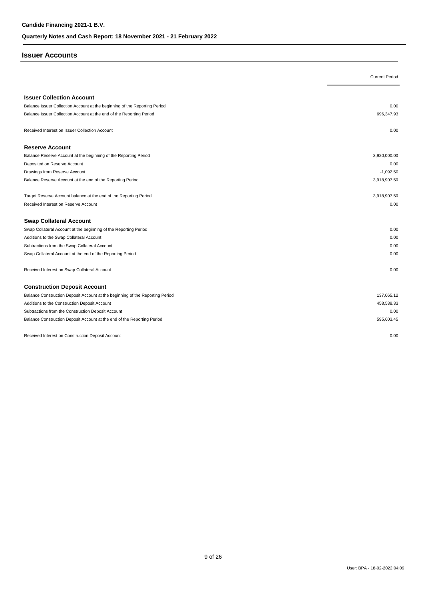#### **Issuer Accounts**

|                                                                               | <b>Current Period</b> |
|-------------------------------------------------------------------------------|-----------------------|
| <b>Issuer Collection Account</b>                                              |                       |
| Balance Issuer Collection Account at the beginning of the Reporting Period    | 0.00                  |
| Balance Issuer Collection Account at the end of the Reporting Period          | 696,347.93            |
| Received Interest on Issuer Collection Account                                | 0.00                  |
| <b>Reserve Account</b>                                                        |                       |
| Balance Reserve Account at the beginning of the Reporting Period              | 3,920,000.00          |
| Deposited on Reserve Account                                                  | 0.00                  |
| Drawings from Reserve Account                                                 | $-1,092.50$           |
| Balance Reserve Account at the end of the Reporting Period                    | 3,918,907.50          |
| Target Reserve Account balance at the end of the Reporting Period             | 3,918,907.50          |
| Received Interest on Reserve Account                                          | 0.00                  |
| <b>Swap Collateral Account</b>                                                |                       |
| Swap Collateral Account at the beginning of the Reporting Period              | 0.00                  |
| Additions to the Swap Collateral Account                                      | 0.00                  |
| Subtractions from the Swap Collateral Account                                 | 0.00                  |
| Swap Collateral Account at the end of the Reporting Period                    | 0.00                  |
| Received Interest on Swap Collateral Account                                  | 0.00                  |
| <b>Construction Deposit Account</b>                                           |                       |
| Balance Construction Deposit Account at the beginning of the Reporting Period | 137.065.12            |
| Additions to the Construction Deposit Account                                 | 458,538.33            |
| Subtractions from the Construction Deposit Account                            | 0.00                  |
| Balance Construction Deposit Account at the end of the Reporting Period       | 595,603.45            |
| Received Interest on Construction Deposit Account                             | 0.00                  |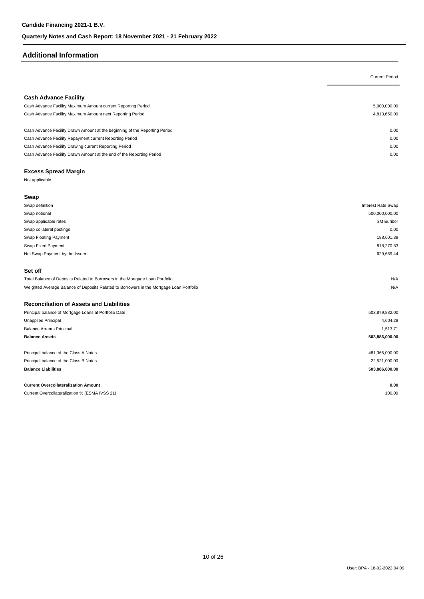## **Additional Information**

|                                                                                          | <b>Current Period</b> |
|------------------------------------------------------------------------------------------|-----------------------|
|                                                                                          |                       |
| <b>Cash Advance Facility</b>                                                             |                       |
| Cash Advance Facility Maximum Amount current Reporting Period                            | 5,000,000.00          |
| Cash Advance Facility Maximum Amount next Reporting Period                               | 4,813,650.00          |
| Cash Advance Facility Drawn Amount at the beginning of the Reporting Period              | 0.00                  |
| Cash Advance Facility Repayment current Reporting Period                                 | 0.00                  |
| Cash Advance Facility Drawing current Reporting Period                                   | 0.00                  |
| Cash Advance Facility Drawn Amount at the end of the Reporting Period                    | 0.00                  |
| <b>Excess Spread Margin</b>                                                              |                       |
| Not applicable                                                                           |                       |
| Swap                                                                                     |                       |
| Swap definition                                                                          | Interest Rate Swap    |
| Swap notional                                                                            | 500,000,000.00        |
| Swap applicable rates                                                                    | 3M Euribor            |
| Swap collateral postings                                                                 | 0.00                  |
| Swap Floating Payment                                                                    | 188,601.39            |
| Swap Fixed Payment                                                                       | 818,270.83            |
| Net Swap Payment by the Issuer                                                           | 629,669.44            |
| Set off                                                                                  |                       |
| Total Balance of Deposits Related to Borrowers in the Mortgage Loan Portfolio            | N/A                   |
| Weighted Average Balance of Deposits Related to Borrowers in the Mortgage Loan Portfolio | N/A                   |
| <b>Reconciliation of Assets and Liabilities</b>                                          |                       |
| Principal balance of Mortgage Loans at Portfolio Date                                    | 503,879,882.00        |
| <b>Unapplied Principal</b>                                                               | 4,604.29              |
| <b>Balance Arrears Principal</b>                                                         | 1,513.71              |
| <b>Balance Assets</b>                                                                    | 503,886,000.00        |
| Principal balance of the Class A Notes                                                   | 481,365,000.00        |
| Principal balance of the Class B Notes                                                   | 22,521,000.00         |
| <b>Balance Liabilities</b>                                                               | 503,886,000.00        |
| <b>Current Overcollateralization Amount</b>                                              | 0.00                  |
| Current Overcollateralization % (ESMA IVSS 21)                                           | 100.00                |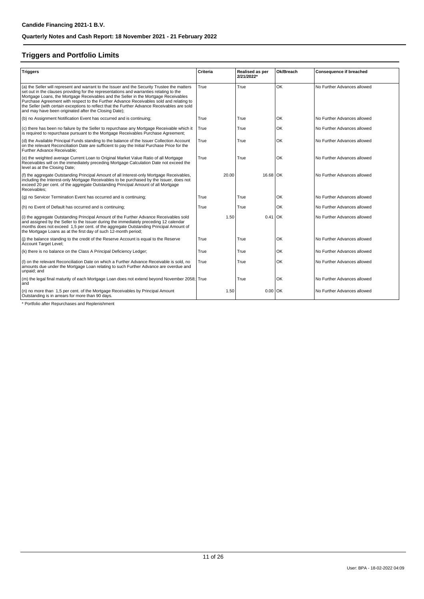# **Triggers and Portfolio Limits**

| Triggers                                                                                                                                                                                                                                                                                                                                                                                                                                                                                                                           | Criteria | <b>Realised as per</b><br>2/21/2022* | Ok/Breach | <b>Consequence if breached</b> |
|------------------------------------------------------------------------------------------------------------------------------------------------------------------------------------------------------------------------------------------------------------------------------------------------------------------------------------------------------------------------------------------------------------------------------------------------------------------------------------------------------------------------------------|----------|--------------------------------------|-----------|--------------------------------|
| (a) the Seller will represent and warrant to the Issuer and the Security Trustee the matters<br>set out in the clauses providing for the representations and warranties relating to the<br>Mortgage Loans, the Mortgage Receivables and the Seller in the Mortgage Receivables<br>Purchase Agreement with respect to the Further Advance Receivables sold and relating to<br>the Seller (with certain exceptions to reflect that the Further Advance Receivables are sold<br>and may have been originated after the Closing Date); | True     | True                                 | OK        | No Further Advances allowed    |
| (b) no Assignment Notification Event has occurred and is continuing;                                                                                                                                                                                                                                                                                                                                                                                                                                                               | True     | True                                 | OK        | No Further Advances allowed    |
| (c) there has been no failure by the Seller to repurchase any Mortgage Receivable which it<br>is required to repurchase pursuant to the Mortgage Receivables Purchase Agreement;                                                                                                                                                                                                                                                                                                                                                   | True     | True                                 | OK        | No Further Advances allowed    |
| (d) the Available Principal Funds standing to the balance of the Issuer Collection Account<br>on the relevant Reconciliation Date are sufficient to pay the Initial Purchase Price for the<br>Further Advance Receivable:                                                                                                                                                                                                                                                                                                          | True     | True                                 | OK        | No Further Advances allowed    |
| (e) the weighted average Current Loan to Original Market Value Ratio of all Mortgage<br>Receivables will on the immediately preceding Mortgage Calculation Date not exceed the<br>level as at the Closing Date;                                                                                                                                                                                                                                                                                                                    | True     | True                                 | OK        | No Further Advances allowed    |
| (f) the aggregate Outstanding Principal Amount of all Interest-only Mortgage Receivables,<br>including the Interest-only Mortgage Receivables to be purchased by the Issuer, does not<br>exceed 20 per cent. of the aggregate Outstanding Principal Amount of all Mortgage<br>Receivables:                                                                                                                                                                                                                                         | 20.00    | 16.68 OK                             |           | No Further Advances allowed    |
| (q) no Servicer Termination Event has occurred and is continuing;                                                                                                                                                                                                                                                                                                                                                                                                                                                                  | True     | True                                 | OK        | No Further Advances allowed    |
| (h) no Event of Default has occurred and is continuing;                                                                                                                                                                                                                                                                                                                                                                                                                                                                            | True     | True                                 | OK        | No Further Advances allowed    |
| (i) the aggregate Outstanding Principal Amount of the Further Advance Receivables sold<br>and assigned by the Seller to the Issuer during the immediately preceding 12 calendar<br>months does not exceed 1,5 per cent. of the aggregate Outstanding Principal Amount of<br>the Mortgage Loans as at the first day of such 12-month period;                                                                                                                                                                                        | 1.50     | 0.41                                 | OK        | No Further Advances allowed    |
| (i) the balance standing to the credit of the Reserve Account is equal to the Reserve<br>Account Target Level;                                                                                                                                                                                                                                                                                                                                                                                                                     | True     | True                                 | OK        | No Further Advances allowed    |
| (k) there is no balance on the Class A Principal Deficiency Ledger;                                                                                                                                                                                                                                                                                                                                                                                                                                                                | True     | True                                 | OK        | No Further Advances allowed    |
| (I) on the relevant Reconciliation Date on which a Further Advance Receivable is sold, no<br>amounts due under the Mortgage Loan relating to such Further Advance are overdue and<br>unpaid; and                                                                                                                                                                                                                                                                                                                                   | True     | True                                 | OK        | No Further Advances allowed    |
| (m) the legal final maturity of each Mortgage Loan does not extend beyond November 2058; True<br>land                                                                                                                                                                                                                                                                                                                                                                                                                              |          | True                                 | OK        | No Further Advances allowed    |
| (n) no more than 1,5 per cent. of the Mortgage Receivables by Principal Amount<br>Outstanding is in arrears for more than 90 days.                                                                                                                                                                                                                                                                                                                                                                                                 | 1.50     | $0.00$ OK                            |           | No Further Advances allowed    |

\* Portfolio after Repurchases and Replenishment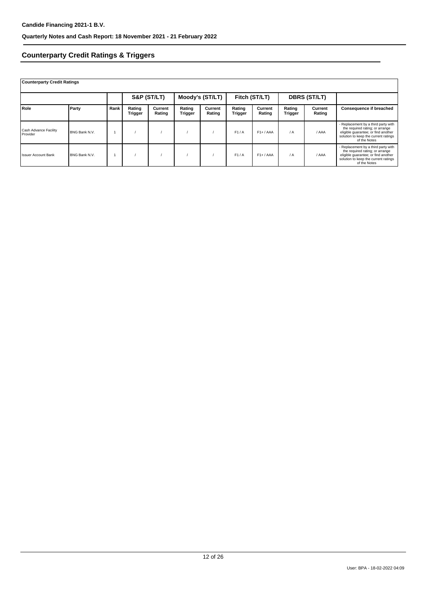# **Counterparty Credit Ratings & Triggers**

| <b>Counterparty Credit Ratings</b> |                      |                                |                   |                   |                   |                     |                   |                   |                   |                   |                                                                                                                                                                       |
|------------------------------------|----------------------|--------------------------------|-------------------|-------------------|-------------------|---------------------|-------------------|-------------------|-------------------|-------------------|-----------------------------------------------------------------------------------------------------------------------------------------------------------------------|
|                                    |                      | S&P (ST/LT)<br>Moody's (ST/LT) |                   | Fitch (ST/LT)     |                   | <b>DBRS (ST/LT)</b> |                   |                   |                   |                   |                                                                                                                                                                       |
| Role                               | Party                | Rank                           | Rating<br>Trigger | Current<br>Rating | Rating<br>Trigger | Current<br>Rating   | Rating<br>Trigger | Current<br>Rating | Rating<br>Trigger | Current<br>Rating | <b>Consequence if breached</b>                                                                                                                                        |
| Cash Advance Facility<br>Provider  | <b>BNG Bank N.V.</b> |                                |                   |                   |                   |                     | F1/A              | $F1+ / AAA$       | $\sqrt{A}$        | AAA               | - Replacement by a third party with<br>the required rating; or arrange<br>eligible quarantee; or find another<br>solution to keep the current ratings<br>of the Notes |
| Issuer Account Bank                | <b>BNG Bank N.V.</b> |                                |                   |                   |                   |                     | F1/A              | $F1+ / AAA$       | / A               | AAA               | - Replacement by a third party with<br>the required rating; or arrange<br>eligible quarantee; or find another<br>solution to keep the current ratings<br>of the Notes |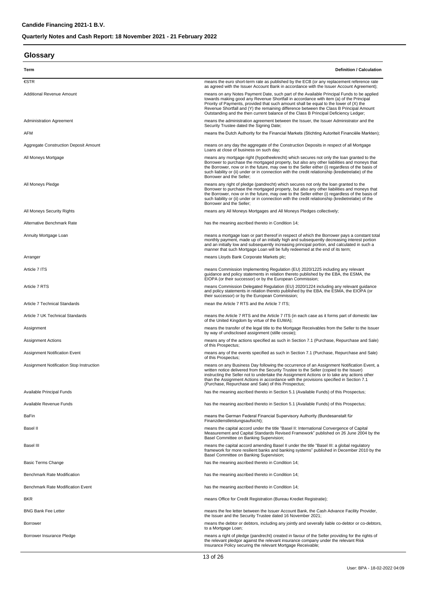# **Glossary**

| Term                                     | <b>Definition / Calculation</b>                                                                                                                                                                                                                                                                                                                                                                                                                                  |
|------------------------------------------|------------------------------------------------------------------------------------------------------------------------------------------------------------------------------------------------------------------------------------------------------------------------------------------------------------------------------------------------------------------------------------------------------------------------------------------------------------------|
| €STR                                     | means the euro short-term rate as published by the ECB (or any replacement reference rate<br>as agreed with the Issuer Account Bank in accordance with the Issuer Account Agreement);                                                                                                                                                                                                                                                                            |
| <b>Additional Revenue Amount</b>         | means on any Notes Payment Date, such part of the Available Principal Funds to be applied<br>towards making good any Revenue Shortfall in accordance with item (a) of the Principal<br>Priority of Payments, provided that such amount shall be equal to the lower of (X) the<br>Revenue Shortfall and (Y) the remaining difference between the Class B Principal Amount<br>Outstanding and the then current balance of the Class B Principal Deficiency Ledger; |
| <b>Administration Agreement</b>          | means the administration agreement between the Issuer, the Issuer Administrator and the<br>Security Trustee dated the Signing Date;                                                                                                                                                                                                                                                                                                                              |
| AFM                                      | means the Dutch Authority for the Financial Markets (Stichting Autoriteit Financiële Markten);                                                                                                                                                                                                                                                                                                                                                                   |
| Aggregate Construction Deposit Amount    | means on any day the aggregate of the Construction Deposits in respect of all Mortgage<br>Loans at close of business on such day;                                                                                                                                                                                                                                                                                                                                |
| All Moneys Mortgage                      | means any mortgage right (hypotheekrecht) which secures not only the loan granted to the<br>Borrower to purchase the mortgaged property, but also any other liabilities and moneys that<br>the Borrower, now or in the future, may owe to the Seller either (i) regardless of the basis of<br>such liability or (ii) under or in connection with the credit relationship (kredietrelatie) of the<br>Borrower and the Seller;                                     |
| All Moneys Pledge                        | means any right of pledge (pandrecht) which secures not only the loan granted to the<br>Borrower to purchase the mortgaged property, but also any other liabilities and moneys that<br>the Borrower, now or in the future, may owe to the Seller either (i) regardless of the basis of<br>such liability or (ii) under or in connection with the credit relationship (kredietrelatie) of the<br>Borrower and the Seller;                                         |
| All Moneys Security Rights               | means any All Moneys Mortgages and All Moneys Pledges collectively;                                                                                                                                                                                                                                                                                                                                                                                              |
| Alternative Benchmark Rate               | has the meaning ascribed thereto in Condition 14;                                                                                                                                                                                                                                                                                                                                                                                                                |
| Annuity Mortgage Loan                    | means a mortgage loan or part thereof in respect of which the Borrower pays a constant total<br>monthly payment, made up of an initially high and subsequently decreasing interest portion<br>and an initially low and subsequently increasing principal portion, and calculated in such a<br>manner that such Mortgage Loan will be fully redeemed at the end of its term;                                                                                      |
| Arranger                                 | means Lloyds Bank Corporate Markets plc;                                                                                                                                                                                                                                                                                                                                                                                                                         |
| Article 7 ITS                            | means Commission Implementing Regulation (EU) 2020/1225 including any relevant<br>guidance and policy statements in relation thereto published by the EBA, the ESMA, the<br>EIOPA (or their successor) or by the European Commission;                                                                                                                                                                                                                            |
| Article 7 RTS                            | means Commission Delegated Regulation (EU) 2020/1224 including any relevant guidance<br>and policy statements in relation thereto published by the EBA, the ESMA, the EIOPA (or<br>their successor) or by the European Commission;                                                                                                                                                                                                                               |
| Article 7 Technical Standards            | mean the Article 7 RTS and the Article 7 ITS;                                                                                                                                                                                                                                                                                                                                                                                                                    |
| Article 7 UK Technical Standards         | means the Article 7 RTS and the Article 7 ITS (in each case as it forms part of domestic law<br>of the United Kingdom by virtue of the EUWA);                                                                                                                                                                                                                                                                                                                    |
| Assignment                               | means the transfer of the legal title to the Mortgage Receivables from the Seller to the Issuer<br>by way of undisclosed assignment (stille cessie);                                                                                                                                                                                                                                                                                                             |
| <b>Assignment Actions</b>                | means any of the actions specified as such in Section 7.1 (Purchase, Repurchase and Sale)<br>of this Prospectus;                                                                                                                                                                                                                                                                                                                                                 |
| <b>Assignment Notification Event</b>     | means any of the events specified as such in Section 7.1 (Purchase, Repurchase and Sale)<br>of this Prospectus;                                                                                                                                                                                                                                                                                                                                                  |
| Assignment Notification Stop Instruction | means on any Business Day following the occurrence of an Assignment Notification Event, a<br>written notice delivered from the Security Trustee to the Seller (copied to the Issuer)<br>instructing the Seller not to undertake the Assignment Actions or to take any actions other<br>than the Assignment Actions in accordance with the provisions specified in Section 7.1<br>(Purchase, Repurchase and Sale) of this Prospectus;                             |
| Available Principal Funds                | has the meaning ascribed thereto in Section 5.1 (Available Funds) of this Prospectus;                                                                                                                                                                                                                                                                                                                                                                            |
| Available Revenue Funds                  | has the meaning ascribed thereto in Section 5.1 (Available Funds) of this Prospectus;                                                                                                                                                                                                                                                                                                                                                                            |
| BaFin                                    | means the German Federal Financial Supervisory Authority (Bundesanstalt für<br>Finanzdienstleistungsaufsicht);                                                                                                                                                                                                                                                                                                                                                   |
| Basel II                                 | means the capital accord under the title "Basel II: International Convergence of Capital<br>Measurement and Capital Standards Revised Framework" published on 26 June 2004 by the<br>Basel Committee on Banking Supervision;                                                                                                                                                                                                                                     |
| Basel III                                | means the capital accord amending Basel II under the title "Basel III: a global regulatory<br>framework for more resilient banks and banking systems" published in December 2010 by the<br>Basel Committee on Banking Supervision;                                                                                                                                                                                                                               |
| Basic Terms Change                       | has the meaning ascribed thereto in Condition 14;                                                                                                                                                                                                                                                                                                                                                                                                                |
| Benchmark Rate Modification              | has the meaning ascribed thereto in Condition 14;                                                                                                                                                                                                                                                                                                                                                                                                                |
| <b>Benchmark Rate Modification Event</b> | has the meaning ascribed thereto in Condition 14;                                                                                                                                                                                                                                                                                                                                                                                                                |
| <b>BKR</b>                               | means Office for Credit Registration (Bureau Krediet Registratie);                                                                                                                                                                                                                                                                                                                                                                                               |
| <b>BNG Bank Fee Letter</b>               | means the fee letter between the Issuer Account Bank, the Cash Advance Facility Provider,<br>the Issuer and the Security Trustee dated 16 November 2021;                                                                                                                                                                                                                                                                                                         |
| <b>Borrower</b>                          | means the debtor or debtors, including any jointly and severally liable co-debtor or co-debtors,<br>to a Mortgage Loan;                                                                                                                                                                                                                                                                                                                                          |
| Borrower Insurance Pledge                | means a right of pledge (pandrecht) created in favour of the Seller providing for the rights of<br>the relevant pledgor against the relevant insurance company under the relevant Risk<br>Insurance Policy securing the relevant Mortgage Receivable;                                                                                                                                                                                                            |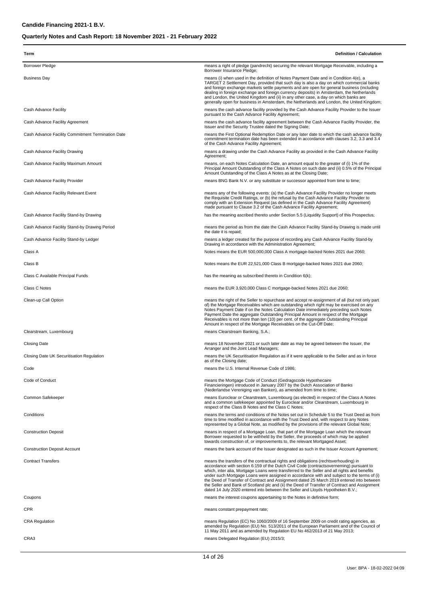| Term                                              | <b>Definition / Calculation</b>                                                                                                                                                                                                                                                                                                                                                                                                                                                                                                                                                                                                                            |
|---------------------------------------------------|------------------------------------------------------------------------------------------------------------------------------------------------------------------------------------------------------------------------------------------------------------------------------------------------------------------------------------------------------------------------------------------------------------------------------------------------------------------------------------------------------------------------------------------------------------------------------------------------------------------------------------------------------------|
| <b>Borrower Pledge</b>                            | means a right of pledge (pandrecht) securing the relevant Mortgage Receivable, including a<br>Borrower Insurance Pledge;                                                                                                                                                                                                                                                                                                                                                                                                                                                                                                                                   |
| <b>Business Day</b>                               | means (i) when used in the definition of Notes Payment Date and in Condition 4(e), a<br>TARGET 2 Settlement Day, provided that such day is also a day on which commercial banks<br>and foreign exchange markets settle payments and are open for general business (including<br>dealing in foreign exchange and foreign currency deposits) in Amsterdam, the Netherlands<br>and London, the United Kingdom and (ii) in any other case, a day on which banks are<br>generally open for business in Amsterdam, the Netherlands and London, the United Kingdom;                                                                                               |
| Cash Advance Facility                             | means the cash advance facility provided by the Cash Advance Facility Provider to the Issuer<br>pursuant to the Cash Advance Facility Agreement;                                                                                                                                                                                                                                                                                                                                                                                                                                                                                                           |
| Cash Advance Facility Agreement                   | means the cash advance facility agreement between the Cash Advance Facility Provider, the<br>Issuer and the Security Trustee dated the Signing Date;                                                                                                                                                                                                                                                                                                                                                                                                                                                                                                       |
| Cash Advance Facility Commitment Termination Date | means the First Optional Redemption Date or any later date to which the cash advance facility<br>commitment termination date has been extended in accordance with clauses 3.2, 3.3 and 3.4<br>of the Cash Advance Facility Agreement;                                                                                                                                                                                                                                                                                                                                                                                                                      |
| Cash Advance Facility Drawing                     | means a drawing under the Cash Advance Facility as provided in the Cash Advance Facility<br>Agreement;                                                                                                                                                                                                                                                                                                                                                                                                                                                                                                                                                     |
| Cash Advance Facility Maximum Amount              | means, on each Notes Calculation Date, an amount equal to the greater of (i) 1% of the<br>Principal Amount Outstanding of the Class A Notes on such date and (ii) 0.5% of the Principal<br>Amount Outstanding of the Class A Notes as at the Closing Date;                                                                                                                                                                                                                                                                                                                                                                                                 |
| Cash Advance Facility Provider                    | means BNG Bank N.V. or any substitute or successor appointed from time to time;                                                                                                                                                                                                                                                                                                                                                                                                                                                                                                                                                                            |
| Cash Advance Facility Relevant Event              | means any of the following events: (a) the Cash Advance Facility Provider no longer meets<br>the Requisite Credit Ratings, or (b) the refusal by the Cash Advance Facility Provider to<br>comply with an Extension Request (as defined in the Cash Advance Facility Agreement)<br>made pursuant to Clause 3.2 of the Cash Advance Facility Agreement;                                                                                                                                                                                                                                                                                                      |
| Cash Advance Facility Stand-by Drawing            | has the meaning ascribed thereto under Section 5.5 (Liquidity Support) of this Prospectus;                                                                                                                                                                                                                                                                                                                                                                                                                                                                                                                                                                 |
| Cash Advance Facility Stand-by Drawing Period     | means the period as from the date the Cash Advance Facility Stand-by Drawing is made until<br>the date it is repaid;                                                                                                                                                                                                                                                                                                                                                                                                                                                                                                                                       |
| Cash Advance Facility Stand-by Ledger             | means a ledger created for the purpose of recording any Cash Advance Facility Stand-by<br>Drawing in accordance with the Administration Agreement;                                                                                                                                                                                                                                                                                                                                                                                                                                                                                                         |
| Class A                                           | Notes means the EUR 500,000,000 Class A mortgage-backed Notes 2021 due 2060;                                                                                                                                                                                                                                                                                                                                                                                                                                                                                                                                                                               |
| Class B                                           | Notes means the EUR 22,521,000 Class B mortgage-backed Notes 2021 due 2060;                                                                                                                                                                                                                                                                                                                                                                                                                                                                                                                                                                                |
| Class C Available Principal Funds                 | has the meaning as subscribed thereto in Condition 6(k);                                                                                                                                                                                                                                                                                                                                                                                                                                                                                                                                                                                                   |
| Class C Notes                                     | means the EUR 3,920,000 Class C mortgage-backed Notes 2021 due 2060;                                                                                                                                                                                                                                                                                                                                                                                                                                                                                                                                                                                       |
| Clean-up Call Option                              | means the right of the Seller to repurchase and accept re-assignment of all (but not only part<br>of) the Mortgage Receivables which are outstanding which right may be exercised on any<br>Notes Payment Date if on the Notes Calculation Date immediately preceding such Notes<br>Payment Date the aggregate Outstanding Principal Amount in respect of the Mortgage<br>Receivables is not more than ten (10) per cent. of the aggregate Outstanding Principal<br>Amount in respect of the Mortgage Receivables on the Cut-Off Date;                                                                                                                     |
| Clearstream, Luxembourg                           | means Clearstream Banking, S.A.;                                                                                                                                                                                                                                                                                                                                                                                                                                                                                                                                                                                                                           |
| <b>Closing Date</b>                               | means 18 November 2021 or such later date as may be agreed between the Issuer, the<br>Arranger and the Joint Lead Managers;                                                                                                                                                                                                                                                                                                                                                                                                                                                                                                                                |
| Closing Date UK Securitisation Regulation         | means the UK Securitisation Regulation as if it were applicable to the Seller and as in force<br>as of the Closing date;                                                                                                                                                                                                                                                                                                                                                                                                                                                                                                                                   |
| Code                                              | means the U.S. Internal Revenue Code of 1986;                                                                                                                                                                                                                                                                                                                                                                                                                                                                                                                                                                                                              |
| Code of Conduct                                   | means the Mortgage Code of Conduct (Gedragscode Hypothecaire<br>Financieringen) introduced in January 2007 by the Dutch Association of Banks<br>(Nederlandse Vereniging van Banken), as amended from time to time;                                                                                                                                                                                                                                                                                                                                                                                                                                         |
| Common Safekeeper                                 | means Euroclear or Clearstream, Luxembourg (as elected) in respect of the Class A Notes<br>and a common safekeeper appointed by Euroclear and/or Clearstream, Luxembourg in<br>respect of the Class B Notes and the Class C Notes;                                                                                                                                                                                                                                                                                                                                                                                                                         |
| Conditions                                        | means the terms and conditions of the Notes set out in Schedule 5 to the Trust Deed as from<br>time to time modified in accordance with the Trust Deed and, with respect to any Notes<br>represented by a Global Note, as modified by the provisions of the relevant Global Note:                                                                                                                                                                                                                                                                                                                                                                          |
| <b>Construction Deposit</b>                       | means in respect of a Mortgage Loan, that part of the Mortgage Loan which the relevant<br>Borrower requested to be withheld by the Seller, the proceeds of which may be applied<br>towards construction of, or improvements to, the relevant Mortgaged Asset:                                                                                                                                                                                                                                                                                                                                                                                              |
| <b>Construction Deposit Account</b>               | means the bank account of the Issuer designated as such in the Issuer Account Agreement;                                                                                                                                                                                                                                                                                                                                                                                                                                                                                                                                                                   |
| <b>Contract Transfers</b>                         | means the transfers of the contractual rights and obligations (rechtsverhouding) in<br>accordance with section 6:159 of the Dutch Civil Code (contractsoverneming) pursuant to<br>which, inter alia, Mortgage Loans were transferred to the Seller and all rights and benefits<br>under such Mortgage Loans were assigned in accordance with and subject to the terms of (i)<br>the Deed of Transfer of Contract and Assignment dated 25 March 2019 entered into between<br>the Seller and Bank of Scotland plc and (ii) the Deed of Transfer of Contract and Assignment<br>dated 14 July 2020 entered into between the Seller and Lloyds Hypotheken B.V.; |
| Coupons                                           | means the interest coupons appertaining to the Notes in definitive form;                                                                                                                                                                                                                                                                                                                                                                                                                                                                                                                                                                                   |
| <b>CPR</b>                                        | means constant prepayment rate;                                                                                                                                                                                                                                                                                                                                                                                                                                                                                                                                                                                                                            |
| <b>CRA Regulation</b>                             | means Regulation (EC) No 1060/2009 of 16 September 2009 on credit rating agencies, as<br>amended by Regulation (EU) No. 513/2011 of the European Parliament and of the Council of<br>11 May 2011 and as amended by Regulation EU No 462/2013 of 21 May 2013;                                                                                                                                                                                                                                                                                                                                                                                               |
| CRA3                                              | means Delegated Regulation (EU) 2015/3;                                                                                                                                                                                                                                                                                                                                                                                                                                                                                                                                                                                                                    |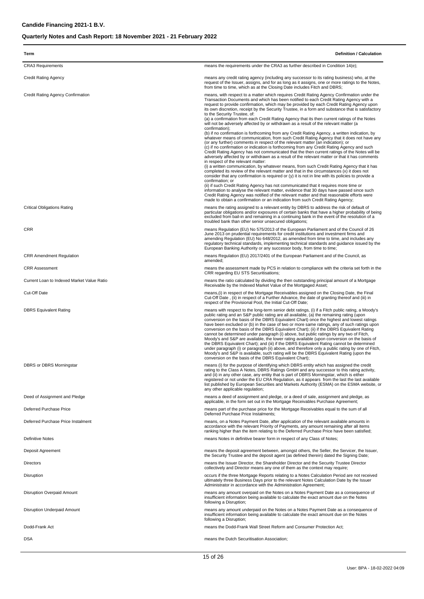| Term                                       | <b>Definition / Calculation</b>                                                                                                                                                                                                                                                                                                                                                                                                                                                                                                                                                                                                                                                                                                                                                                                                                                                                                                                                                                                                                                                                                                                                                                                                                                                                                                                                                                                                                                                                                                                                                                                                                                                                                                                                 |
|--------------------------------------------|-----------------------------------------------------------------------------------------------------------------------------------------------------------------------------------------------------------------------------------------------------------------------------------------------------------------------------------------------------------------------------------------------------------------------------------------------------------------------------------------------------------------------------------------------------------------------------------------------------------------------------------------------------------------------------------------------------------------------------------------------------------------------------------------------------------------------------------------------------------------------------------------------------------------------------------------------------------------------------------------------------------------------------------------------------------------------------------------------------------------------------------------------------------------------------------------------------------------------------------------------------------------------------------------------------------------------------------------------------------------------------------------------------------------------------------------------------------------------------------------------------------------------------------------------------------------------------------------------------------------------------------------------------------------------------------------------------------------------------------------------------------------|
| <b>CRA3 Requirements</b>                   | means the requirements under the CRA3 as further described in Condition $14(e)$ ;                                                                                                                                                                                                                                                                                                                                                                                                                                                                                                                                                                                                                                                                                                                                                                                                                                                                                                                                                                                                                                                                                                                                                                                                                                                                                                                                                                                                                                                                                                                                                                                                                                                                               |
| <b>Credit Rating Agency</b>                | means any credit rating agency (including any successor to its rating business) who, at the<br>request of the Issuer, assigns, and for as long as it assigns, one or more ratings to the Notes,<br>from time to time, which as at the Closing Date includes Fitch and DBRS;                                                                                                                                                                                                                                                                                                                                                                                                                                                                                                                                                                                                                                                                                                                                                                                                                                                                                                                                                                                                                                                                                                                                                                                                                                                                                                                                                                                                                                                                                     |
| Credit Rating Agency Confirmation          | means, with respect to a matter which requires Credit Rating Agency Confirmation under the<br>Transaction Documents and which has been notified to each Credit Rating Agency with a<br>request to provide confirmation, which may be provided by each Credit Rating Agency upon<br>its own discretion, receipt by the Security Trustee, in a form and substance that is satisfactory<br>to the Security Trustee, of:<br>(a) a confirmation from each Credit Rating Agency that its then current ratings of the Notes<br>will not be adversely affected by or withdrawn as a result of the relevant matter (a<br>confirmation);<br>(b) if no confirmation is forthcoming from any Credit Rating Agency, a written indication, by<br>whatever means of communication, from such Credit Rating Agency that it does not have any<br>(or any further) comments in respect of the relevant matter (an indication); or<br>(c) if no confirmation or indication is forthcoming from any Credit Rating Agency and such<br>Credit Rating Agency has not communicated that the then current ratings of the Notes will be<br>adversely affected by or withdrawn as a result of the relevant matter or that it has comments<br>in respect of the relevant matter:<br>(i) a written communication, by whatever means, from such Credit Rating Agency that it has<br>completed its review of the relevant matter and that in the circumstances (x) it does not<br>consider that any confirmation is required or $(y)$ it is not in line with its policies to provide a<br>confirmation; or<br>(ii) if such Credit Rating Agency has not communicated that it requires more time or<br>information to analyse the relevant matter, evidence that 30 days have passed since such |
|                                            | Credit Rating Agency was notified of the relevant matter and that reasonable efforts were<br>made to obtain a confirmation or an indication from such Credit Rating Agency;                                                                                                                                                                                                                                                                                                                                                                                                                                                                                                                                                                                                                                                                                                                                                                                                                                                                                                                                                                                                                                                                                                                                                                                                                                                                                                                                                                                                                                                                                                                                                                                     |
| <b>Critical Obligations Rating</b>         | means the rating assigned to a relevant entity by DBRS to address the risk of default of<br>particular obligations and/or exposures of certain banks that have a higher probability of being<br>excluded from bail-in and remaining in a continuing bank in the event of the resolution of a<br>troubled bank than other senior unsecured obligations;                                                                                                                                                                                                                                                                                                                                                                                                                                                                                                                                                                                                                                                                                                                                                                                                                                                                                                                                                                                                                                                                                                                                                                                                                                                                                                                                                                                                          |
| CRR                                        | means Regulation (EU) No 575/2013 of the European Parliament and of the Council of 26<br>June 2013 on prudential requirements for credit institutions and investment firms and<br>amending Regulation (EU) No 648/2012, as amended from time to time, and includes any<br>regulatory technical standards, implementing technical standards and guidance issued by the<br>European Banking Authority or any successor body, from time to time;                                                                                                                                                                                                                                                                                                                                                                                                                                                                                                                                                                                                                                                                                                                                                                                                                                                                                                                                                                                                                                                                                                                                                                                                                                                                                                                   |
| <b>CRR Amendment Regulation</b>            | means Regulation (EU) 2017/2401 of the European Parliament and of the Council, as<br>amended;                                                                                                                                                                                                                                                                                                                                                                                                                                                                                                                                                                                                                                                                                                                                                                                                                                                                                                                                                                                                                                                                                                                                                                                                                                                                                                                                                                                                                                                                                                                                                                                                                                                                   |
| <b>CRR Assessment</b>                      | means the assessment made by PCS in relation to compliance with the criteria set forth in the<br>CRR regarding EU STS Securitisations;                                                                                                                                                                                                                                                                                                                                                                                                                                                                                                                                                                                                                                                                                                                                                                                                                                                                                                                                                                                                                                                                                                                                                                                                                                                                                                                                                                                                                                                                                                                                                                                                                          |
| Current Loan to Indexed Market Value Ratio | means the ratio calculated by dividing the then outstanding principal amount of a Mortgage<br>Receivable by the Indexed Market Value of the Mortgaged Asset;                                                                                                                                                                                                                                                                                                                                                                                                                                                                                                                                                                                                                                                                                                                                                                                                                                                                                                                                                                                                                                                                                                                                                                                                                                                                                                                                                                                                                                                                                                                                                                                                    |
| Cut-Off Date                               | means, (i) in respect of the Mortgage Receivables assigned on the Closing Date, the Final<br>Cut-Off Date, (ii) in respect of a Further Advance, the date of granting thereof and (iii) in<br>respect of the Provisional Pool, the Initial Cut-Off Date;                                                                                                                                                                                                                                                                                                                                                                                                                                                                                                                                                                                                                                                                                                                                                                                                                                                                                                                                                                                                                                                                                                                                                                                                                                                                                                                                                                                                                                                                                                        |
| <b>DBRS Equivalent Rating</b>              | means with respect to the long-term senior debt ratings, (i) if a Fitch public rating, a Moody's<br>public rating and an S&P public rating are all available, (a) the remaining rating (upon<br>conversion on the basis of the DBRS Equivalent Chart) once the highest and lowest ratings<br>have been excluded or (b) in the case of two or more same ratings, any of such ratings upon<br>conversion on the basis of the DBRS Equivalent Chart); (ii) if the DBRS Equivalent Rating<br>cannot be determined under paragraph (i) above, but public ratings by any two of Fitch,<br>Moody's and S&P are available, the lower rating available (upon conversion on the basis of<br>the DBRS Equivalent Chart); and (iii) if the DBRS Equivalent Rating cannot be determined<br>under paragraph (i) or paragraph (ii) above, and therefore only a public rating by one of Fitch,<br>Moody's and S&P is available, such rating will be the DBRS Equivalent Rating (upon the<br>conversion on the basis of the DBRS Equivalent Chart);                                                                                                                                                                                                                                                                                                                                                                                                                                                                                                                                                                                                                                                                                                                              |
| DBRS or DBRS Morningstar                   | means (i) for the purpose of identifying which DBRS entity which has assigned the credit<br>rating to the Class A Notes, DBRS Ratings GmbH and any successor to this rating activity,<br>and (ii) in any other case, any entity that is part of DBRS Morningstar, which is either<br>registered or not under the EU CRA Regulation, as it appears from the last the last available<br>list published by European Securities and Markets Authority (ESMA) on the ESMA website, or<br>any other applicable regulation;                                                                                                                                                                                                                                                                                                                                                                                                                                                                                                                                                                                                                                                                                                                                                                                                                                                                                                                                                                                                                                                                                                                                                                                                                                            |
| Deed of Assignment and Pledge              | means a deed of assignment and pledge, or a deed of sale, assignment and pledge, as<br>applicable, in the form set out in the Mortgage Receivables Purchase Agreement;                                                                                                                                                                                                                                                                                                                                                                                                                                                                                                                                                                                                                                                                                                                                                                                                                                                                                                                                                                                                                                                                                                                                                                                                                                                                                                                                                                                                                                                                                                                                                                                          |
| Deferred Purchase Price                    | means part of the purchase price for the Mortgage Receivables equal to the sum of all<br>Deferred Purchase Price Instalments;                                                                                                                                                                                                                                                                                                                                                                                                                                                                                                                                                                                                                                                                                                                                                                                                                                                                                                                                                                                                                                                                                                                                                                                                                                                                                                                                                                                                                                                                                                                                                                                                                                   |
| Deferred Purchase Price Instalment         | means, on a Notes Payment Date, after application of the relevant available amounts in<br>accordance with the relevant Priority of Payments, any amount remaining after all items<br>ranking higher than the item relating to the Deferred Purchase Price have been satisfied;                                                                                                                                                                                                                                                                                                                                                                                                                                                                                                                                                                                                                                                                                                                                                                                                                                                                                                                                                                                                                                                                                                                                                                                                                                                                                                                                                                                                                                                                                  |
| <b>Definitive Notes</b>                    | means Notes in definitive bearer form in respect of any Class of Notes;                                                                                                                                                                                                                                                                                                                                                                                                                                                                                                                                                                                                                                                                                                                                                                                                                                                                                                                                                                                                                                                                                                                                                                                                                                                                                                                                                                                                                                                                                                                                                                                                                                                                                         |
| Deposit Agreement                          | means the deposit agreement between, amongst others, the Seller, the Servicer, the Issuer,<br>the Security Trustee and the deposit agent (as defined therein) dated the Signing Date;                                                                                                                                                                                                                                                                                                                                                                                                                                                                                                                                                                                                                                                                                                                                                                                                                                                                                                                                                                                                                                                                                                                                                                                                                                                                                                                                                                                                                                                                                                                                                                           |
| Directors                                  | means the Issuer Director, the Shareholder Director and the Security Trustee Director<br>collectively and Director means any one of them as the context may require;                                                                                                                                                                                                                                                                                                                                                                                                                                                                                                                                                                                                                                                                                                                                                                                                                                                                                                                                                                                                                                                                                                                                                                                                                                                                                                                                                                                                                                                                                                                                                                                            |
| Disruption                                 | occurs if the three Mortgage Reports relating to a Notes Calculation Period are not received<br>ultimately three Business Days prior to the relevant Notes Calculation Date by the Issuer<br>Administrator in accordance with the Administration Agreement;                                                                                                                                                                                                                                                                                                                                                                                                                                                                                                                                                                                                                                                                                                                                                                                                                                                                                                                                                                                                                                                                                                                                                                                                                                                                                                                                                                                                                                                                                                     |
| Disruption Overpaid Amount                 | means any amount overpaid on the Notes on a Notes Payment Date as a consequence of<br>insufficient information being available to calculate the exact amount due on the Notes<br>following a Disruption;                                                                                                                                                                                                                                                                                                                                                                                                                                                                                                                                                                                                                                                                                                                                                                                                                                                                                                                                                                                                                                                                                                                                                                                                                                                                                                                                                                                                                                                                                                                                                        |
| Disruption Underpaid Amount                | means any amount underpaid on the Notes on a Notes Payment Date as a consequence of<br>insufficient information being available to calculate the exact amount due on the Notes<br>following a Disruption;                                                                                                                                                                                                                                                                                                                                                                                                                                                                                                                                                                                                                                                                                                                                                                                                                                                                                                                                                                                                                                                                                                                                                                                                                                                                                                                                                                                                                                                                                                                                                       |
| Dodd-Frank Act                             | means the Dodd-Frank Wall Street Reform and Consumer Protection Act;                                                                                                                                                                                                                                                                                                                                                                                                                                                                                                                                                                                                                                                                                                                                                                                                                                                                                                                                                                                                                                                                                                                                                                                                                                                                                                                                                                                                                                                                                                                                                                                                                                                                                            |
| DSA                                        | means the Dutch Securitisation Association;                                                                                                                                                                                                                                                                                                                                                                                                                                                                                                                                                                                                                                                                                                                                                                                                                                                                                                                                                                                                                                                                                                                                                                                                                                                                                                                                                                                                                                                                                                                                                                                                                                                                                                                     |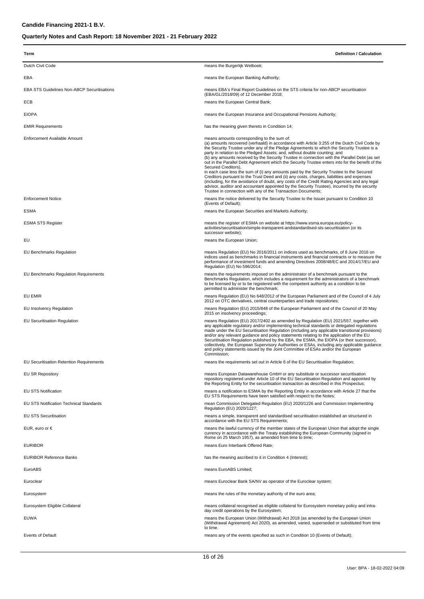| Term                                               | <b>Definition / Calculation</b>                                                                                                                                                                                                                                                                                                                                                                                                                                                                                                                                                                                                                                                                                                                                                                                                                                                                                                                                                                               |
|----------------------------------------------------|---------------------------------------------------------------------------------------------------------------------------------------------------------------------------------------------------------------------------------------------------------------------------------------------------------------------------------------------------------------------------------------------------------------------------------------------------------------------------------------------------------------------------------------------------------------------------------------------------------------------------------------------------------------------------------------------------------------------------------------------------------------------------------------------------------------------------------------------------------------------------------------------------------------------------------------------------------------------------------------------------------------|
| Dutch Civil Code                                   | means the Burgerlijk Wetboek;                                                                                                                                                                                                                                                                                                                                                                                                                                                                                                                                                                                                                                                                                                                                                                                                                                                                                                                                                                                 |
| EBA                                                | means the European Banking Authority;                                                                                                                                                                                                                                                                                                                                                                                                                                                                                                                                                                                                                                                                                                                                                                                                                                                                                                                                                                         |
| <b>EBA STS Guidelines Non-ABCP Securitisations</b> | means EBA's Final Report Guidelines on the STS criteria for non-ABCP securitisation<br>(EBA/GL/2018/09) of 12 December 2018;                                                                                                                                                                                                                                                                                                                                                                                                                                                                                                                                                                                                                                                                                                                                                                                                                                                                                  |
| ECB                                                | means the European Central Bank;                                                                                                                                                                                                                                                                                                                                                                                                                                                                                                                                                                                                                                                                                                                                                                                                                                                                                                                                                                              |
| EIOPA                                              | means the European Insurance and Occupational Pensions Authority;                                                                                                                                                                                                                                                                                                                                                                                                                                                                                                                                                                                                                                                                                                                                                                                                                                                                                                                                             |
| <b>EMIR Requirements</b>                           | has the meaning given thereto in Condition 14;                                                                                                                                                                                                                                                                                                                                                                                                                                                                                                                                                                                                                                                                                                                                                                                                                                                                                                                                                                |
| Enforcement Available Amount                       | means amounts corresponding to the sum of:<br>(a) amounts recovered (verhaald) in accordance with Article 3:255 of the Dutch Civil Code by<br>the Security Trustee under any of the Pledge Agreements to which the Security Trustee is a<br>party in relation to the Pledged Assets; and, without double counting; and<br>(b) any amounts received by the Security Trustee in connection with the Parallel Debt (as set<br>out in the Parallel Debt Agreement which the Security Trustee enters into for the benefit of the<br>Secured Creditors),<br>in each case less the sum of (i) any amounts paid by the Security Trustee to the Secured<br>Creditors pursuant to the Trust Deed and (ii) any costs, charges, liabilities and expenses<br>(including, for the avoidance of doubt, any costs of the Credit Rating Agencies and any legal<br>advisor, auditor and accountant appointed by the Security Trustee), incurred by the security<br>Trustee in connection with any of the Transaction Documents; |
| <b>Enforcement Notice</b>                          | means the notice delivered by the Security Trustee to the Issuer pursuant to Condition 10<br>(Events of Default);                                                                                                                                                                                                                                                                                                                                                                                                                                                                                                                                                                                                                                                                                                                                                                                                                                                                                             |
| ESMA                                               | means the European Securities and Markets Authority;                                                                                                                                                                                                                                                                                                                                                                                                                                                                                                                                                                                                                                                                                                                                                                                                                                                                                                                                                          |
| <b>ESMA STS Register</b>                           | means the register of ESMA on website at https://www.esma.europa.eu/policy-<br>activities/securitisation/simple-transparent-andstandardised-sts-securitisation (or its<br>successor website);                                                                                                                                                                                                                                                                                                                                                                                                                                                                                                                                                                                                                                                                                                                                                                                                                 |
| EU                                                 | means the European Union;                                                                                                                                                                                                                                                                                                                                                                                                                                                                                                                                                                                                                                                                                                                                                                                                                                                                                                                                                                                     |
| EU Benchmarks Regulation                           | means Regulation (EU) No 2016/2011 on indices used as benchmarks, of 8 June 2016 on<br>indices used as benchmarks in financial instruments and financial contracts or to measure the<br>performance of investment funds and amending Directives 2008/48/EC and 2014/17/EU and<br>Regulation (EU) No 596/2014;                                                                                                                                                                                                                                                                                                                                                                                                                                                                                                                                                                                                                                                                                                 |
| <b>EU Benchmarks Regulation Requirements</b>       | means the requirements imposed on the administrator of a benchmark pursuant to the<br>Benchmarks Regulation, which includes a requirement for the administrators of a benchmark<br>to be licensed by or to be registered with the competent authority as a condition to be<br>permitted to administer the benchmark;                                                                                                                                                                                                                                                                                                                                                                                                                                                                                                                                                                                                                                                                                          |
| EU EMIR                                            | means Regulation (EU) No 648/2012 of the European Parliament and of the Council of 4 July<br>2012 on OTC derivatives, central counterparties and trade repositories;                                                                                                                                                                                                                                                                                                                                                                                                                                                                                                                                                                                                                                                                                                                                                                                                                                          |
| <b>EU Insolvency Regulation</b>                    | means Regulation (EU) 2015/848 of the European Parliament and of the Council of 20 May<br>2015 on insolvency proceedings;                                                                                                                                                                                                                                                                                                                                                                                                                                                                                                                                                                                                                                                                                                                                                                                                                                                                                     |
| <b>EU Securitisation Regulation</b>                | means Regulation (EU) 2017/2402 as amended by Regulation (EU) 2021/557, together with<br>any applicable regulatory and/or implementing technical standards or delegated regulations<br>made under the EU Securitisation Regulation (including any applicable transitional provisions)<br>and/or any relevant guidance and policy statements relating to the application of the EU<br>Securitisation Regulation published by the EBA, the ESMA, the EIOPA (or their successor),<br>collectively, the European Supervisory Authorities or ESAs, including any applicable guidance<br>and policy statements issued by the Joint Committee of ESAs and/or the European<br>Commission:                                                                                                                                                                                                                                                                                                                             |
| <b>EU Securitisation Retention Requirements</b>    | means the requirements set out in Article 6 of the EU Securitisation Regulation;                                                                                                                                                                                                                                                                                                                                                                                                                                                                                                                                                                                                                                                                                                                                                                                                                                                                                                                              |
| <b>EU SR Repository</b>                            | means European Datawarehouse GmbH or any substitute or successor securitisation<br>repository registered under Article 10 of the EU Securitisation Regulation and appointed by<br>the Reporting Entity for the securitisation transaction as described in this Prospectus;                                                                                                                                                                                                                                                                                                                                                                                                                                                                                                                                                                                                                                                                                                                                    |
| <b>EU STS Notification</b>                         | means a notification to ESMA by the Reporting Entity in accordance with Article 27 that the<br>EU STS Requirements have been satisfied with respect to the Notes;                                                                                                                                                                                                                                                                                                                                                                                                                                                                                                                                                                                                                                                                                                                                                                                                                                             |
| <b>EU STS Notification Technical Standards</b>     | mean Commission Delegated Regulation (EU) 2020/1226 and Commission Implementing<br>Regulation (EU) 2020/1227;                                                                                                                                                                                                                                                                                                                                                                                                                                                                                                                                                                                                                                                                                                                                                                                                                                                                                                 |
| <b>EU STS Securitisation</b>                       | means a simple, transparent and standardised securitisation established an structured in<br>accordance with the EU STS Requirements;                                                                                                                                                                                                                                                                                                                                                                                                                                                                                                                                                                                                                                                                                                                                                                                                                                                                          |
| EUR, euro or $\epsilon$                            | means the lawful currency of the member states of the European Union that adopt the single<br>currency in accordance with the Treaty establishing the European Community (signed in<br>Rome on 25 March 1957), as amended from time to time;                                                                                                                                                                                                                                                                                                                                                                                                                                                                                                                                                                                                                                                                                                                                                                  |
| <b>EURIBOR</b>                                     | means Euro Interbank Offered Rate;                                                                                                                                                                                                                                                                                                                                                                                                                                                                                                                                                                                                                                                                                                                                                                                                                                                                                                                                                                            |
| <b>EURIBOR Reference Banks</b>                     | has the meaning ascribed to it in Condition 4 (Interest);                                                                                                                                                                                                                                                                                                                                                                                                                                                                                                                                                                                                                                                                                                                                                                                                                                                                                                                                                     |
| EuroABS                                            | means EuroABS Limited;                                                                                                                                                                                                                                                                                                                                                                                                                                                                                                                                                                                                                                                                                                                                                                                                                                                                                                                                                                                        |
| Euroclear                                          | means Euroclear Bank SA/NV as operator of the Euroclear system;                                                                                                                                                                                                                                                                                                                                                                                                                                                                                                                                                                                                                                                                                                                                                                                                                                                                                                                                               |
| Eurosystem                                         | means the rules of the monetary authority of the euro area;                                                                                                                                                                                                                                                                                                                                                                                                                                                                                                                                                                                                                                                                                                                                                                                                                                                                                                                                                   |
| Eurosystem Eligible Collateral                     | means collateral recognised as eligible collateral for Eurosystem monetary policy and intra-<br>day credit operations by the Eurosystem;                                                                                                                                                                                                                                                                                                                                                                                                                                                                                                                                                                                                                                                                                                                                                                                                                                                                      |
| EUWA                                               | means the European Union (Withdrawal) Act 2018 (as amended by the European Union<br>(Withdrawal Agreement) Act 2020), as amended, varied, superseded or substituted from time                                                                                                                                                                                                                                                                                                                                                                                                                                                                                                                                                                                                                                                                                                                                                                                                                                 |
| Events of Default                                  | to time.<br>means any of the events specified as such in Condition 10 (Events of Default);                                                                                                                                                                                                                                                                                                                                                                                                                                                                                                                                                                                                                                                                                                                                                                                                                                                                                                                    |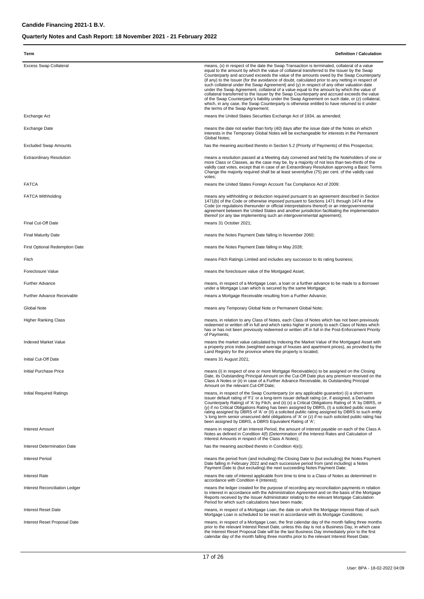| Term                                                        | <b>Definition / Calculation</b>                                                                                                                                                                                                                                                                                                                                                                                                                                                                                                                                                                                                                                                                                                                                                                                                                                                                                         |
|-------------------------------------------------------------|-------------------------------------------------------------------------------------------------------------------------------------------------------------------------------------------------------------------------------------------------------------------------------------------------------------------------------------------------------------------------------------------------------------------------------------------------------------------------------------------------------------------------------------------------------------------------------------------------------------------------------------------------------------------------------------------------------------------------------------------------------------------------------------------------------------------------------------------------------------------------------------------------------------------------|
| <b>Excess Swap Collateral</b>                               | means, (x) in respect of the date the Swap Transaction is terminated, collateral of a value<br>equal to the amount by which the value of collateral transferred to the Issuer by the Swap<br>Counterparty and accrued exceeds the value of the amounts owed by the Swap Counterparty<br>(if any) to the Issuer (for the avoidance of doubt, calculated prior to any netting in respect of<br>such collateral under the Swap Agreement) and (y) in respect of any other valuation date<br>under the Swap Agreement, collateral of a value equal to the amount by which the value of<br>collateral transferred to the Issuer by the Swap Counterparty and accrued exceeds the value<br>of the Swap Counterparty's liability under the Swap Agreement on such date, or (z) collateral,<br>which, in any case, the Swap Counterparty is otherwise entitled to have returned to it under<br>the terms of the Swap Agreement; |
| Exchange Act                                                | means the United States Securities Exchange Act of 1934, as amended;                                                                                                                                                                                                                                                                                                                                                                                                                                                                                                                                                                                                                                                                                                                                                                                                                                                    |
| <b>Exchange Date</b>                                        | means the date not earlier than forty (40) days after the issue date of the Notes on which<br>interests in the Temporary Global Notes will be exchangeable for interests in the Permanent<br>Global Notes:                                                                                                                                                                                                                                                                                                                                                                                                                                                                                                                                                                                                                                                                                                              |
| <b>Excluded Swap Amounts</b>                                | has the meaning ascribed thereto in Section 5.2 (Priority of Payments) of this Prospectus;                                                                                                                                                                                                                                                                                                                                                                                                                                                                                                                                                                                                                                                                                                                                                                                                                              |
| <b>Extraordinary Resolution</b>                             | means a resolution passed at a Meeting duly convened and held by the Noteholders of one or<br>more Class or Classes, as the case may be, by a majority of not less than two-thirds of the<br>validly cast votes, except that in case of an Extraordinary Resolution approving a Basic Terms<br>Change the majority required shall be at least seventyfive (75) per cent. of the validly cast<br>votes;                                                                                                                                                                                                                                                                                                                                                                                                                                                                                                                  |
| <b>FATCA</b>                                                | means the United States Foreign Account Tax Compliance Act of 2009;                                                                                                                                                                                                                                                                                                                                                                                                                                                                                                                                                                                                                                                                                                                                                                                                                                                     |
| <b>FATCA Withholding</b>                                    | means any withholding or deduction required pursuant to an agreement described in Section<br>1471(b) of the Code or otherwise imposed pursuant to Sections 1471 through 1474 of the<br>Code (or regulations thereunder or official interpretations thereof) or an intergovernmental<br>agreement between the United States and another jurisdiction facilitating the implementation<br>thereof (or any law implementing such an intergovernmental agreement);                                                                                                                                                                                                                                                                                                                                                                                                                                                           |
| Final Cut-Off Date                                          | means 31 October 2021;                                                                                                                                                                                                                                                                                                                                                                                                                                                                                                                                                                                                                                                                                                                                                                                                                                                                                                  |
| <b>Final Maturity Date</b>                                  | means the Notes Payment Date falling in November 2060;                                                                                                                                                                                                                                                                                                                                                                                                                                                                                                                                                                                                                                                                                                                                                                                                                                                                  |
| <b>First Optional Redemption Date</b>                       | means the Notes Payment Date falling in May 2028;                                                                                                                                                                                                                                                                                                                                                                                                                                                                                                                                                                                                                                                                                                                                                                                                                                                                       |
| Fitch                                                       | means Fitch Ratings Limited and includes any successor to its rating business;                                                                                                                                                                                                                                                                                                                                                                                                                                                                                                                                                                                                                                                                                                                                                                                                                                          |
| Foreclosure Value                                           | means the foreclosure value of the Mortgaged Asset;                                                                                                                                                                                                                                                                                                                                                                                                                                                                                                                                                                                                                                                                                                                                                                                                                                                                     |
| <b>Further Advance</b><br><b>Further Advance Receivable</b> | means, in respect of a Mortgage Loan, a loan or a further advance to be made to a Borrower<br>under a Mortgage Loan which is secured by the same Mortgage;<br>means a Mortgage Receivable resulting from a Further Advance;                                                                                                                                                                                                                                                                                                                                                                                                                                                                                                                                                                                                                                                                                             |
|                                                             |                                                                                                                                                                                                                                                                                                                                                                                                                                                                                                                                                                                                                                                                                                                                                                                                                                                                                                                         |
| Global Note                                                 | means any Temporary Global Note or Permanent Global Note;                                                                                                                                                                                                                                                                                                                                                                                                                                                                                                                                                                                                                                                                                                                                                                                                                                                               |
| <b>Higher Ranking Class</b>                                 | means, in relation to any Class of Notes, each Class of Notes which has not been previously<br>redeemed or written off in full and which ranks higher in priority to each Class of Notes which<br>has or has not been previously redeemed or written off in full in the Post-Enforcement Priority<br>of Payments;                                                                                                                                                                                                                                                                                                                                                                                                                                                                                                                                                                                                       |
| <b>Indexed Market Value</b>                                 | means the market value calculated by indexing the Market Value of the Mortgaged Asset with<br>a property price index (weighted average of houses and apartment prices), as provided by the<br>Land Registry for the province where the property is located;                                                                                                                                                                                                                                                                                                                                                                                                                                                                                                                                                                                                                                                             |
| Initial Cut-Off Date                                        | means 31 August 2021;                                                                                                                                                                                                                                                                                                                                                                                                                                                                                                                                                                                                                                                                                                                                                                                                                                                                                                   |
| Initial Purchase Price                                      | means (i) in respect of one or more Mortgage Receivable(s) to be assigned on the Closing<br>Date, its Outstanding Principal Amount on the Cut-Off Date plus any premium received on the<br>Class A Notes or (ii) in case of a Further Advance Receivable, its Outstanding Principal<br>Amount on the relevant Cut-Off Date:                                                                                                                                                                                                                                                                                                                                                                                                                                                                                                                                                                                             |
| Initial Required Ratings                                    | means, in respect of the Swap Counterparty (or any applicable guarantor) (i) a short-term<br>issuer default rating of 'F1' or a long-term issuer default rating (or, if assigned, a Derivative<br>Counterparty Rating) of 'A' by Fitch, and (ii) (x) a Critical Obligations Rating of 'A' by DBRS, or<br>(y) if no Critical Obligations Rating has been assigned by DBRS, (I) a solicited public issuer<br>rating assigned by DBRS of 'A' or (II) a solicited public rating assigned by DBRS to such entity<br>'s long term senior unsecured debt obligations of 'A' or (z) if no such solicited public rating has<br>been assigned by DBRS, a DBRS Equivalent Rating of 'A';                                                                                                                                                                                                                                           |
| <b>Interest Amount</b>                                      | means in respect of an Interest Period, the amount of interest payable on each of the Class A<br>Notes as defined in Condition 4(f) (Determination of the Interest Rates and Calculation of<br>Interest Amounts in respect of the Class A Notes);                                                                                                                                                                                                                                                                                                                                                                                                                                                                                                                                                                                                                                                                       |
| <b>Interest Determination Date</b>                          | has the meaning ascribed thereto in Condition 4(e));                                                                                                                                                                                                                                                                                                                                                                                                                                                                                                                                                                                                                                                                                                                                                                                                                                                                    |
| <b>Interest Period</b>                                      | means the period from (and including) the Closing Date to (but excluding) the Notes Payment<br>Date falling in February 2022 and each successive period from (and including) a Notes<br>Payment Date to (but excluding) the next succeeding Notes Payment Date;                                                                                                                                                                                                                                                                                                                                                                                                                                                                                                                                                                                                                                                         |
| <b>Interest Rate</b>                                        | means the rate of interest applicable from time to time to a Class of Notes as determined in<br>accordance with Condition 4 (Interest);                                                                                                                                                                                                                                                                                                                                                                                                                                                                                                                                                                                                                                                                                                                                                                                 |
| Interest Reconciliation Ledger                              | means the ledger created for the purpose of recording any reconciliation payments in relation<br>to interest in accordance with the Administration Agreement and on the basis of the Mortgage<br>Reports received by the Issuer Administrator relating to the relevant Mortgage Calculation<br>Period for which such calculations have been made;                                                                                                                                                                                                                                                                                                                                                                                                                                                                                                                                                                       |
| <b>Interest Reset Date</b>                                  | means, in respect of a Mortgage Loan, the date on which the Mortgage Interest Rate of such<br>Mortgage Loan is scheduled to be reset in accordance with its Mortgage Conditions;                                                                                                                                                                                                                                                                                                                                                                                                                                                                                                                                                                                                                                                                                                                                        |
| Interest Reset Proposal Date                                | means, in respect of a Mortgage Loan, the first calendar day of the month falling three months<br>prior to the relevant Interest Reset Date, unless this day is not a Business Day, in which case<br>the Interest Reset Proposal Date will be the last Business Day immediately prior to the first<br>calendar day of the month falling three months prior to the relevant Interest Reset Date;                                                                                                                                                                                                                                                                                                                                                                                                                                                                                                                         |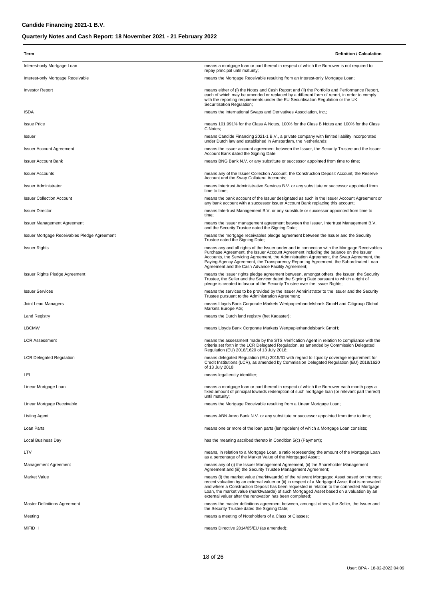| Term                                         | <b>Definition / Calculation</b>                                                                                                                                                                                                                                                                                                                                                                                                                    |
|----------------------------------------------|----------------------------------------------------------------------------------------------------------------------------------------------------------------------------------------------------------------------------------------------------------------------------------------------------------------------------------------------------------------------------------------------------------------------------------------------------|
| Interest-only Mortgage Loan                  | means a mortgage loan or part thereof in respect of which the Borrower is not required to<br>repay principal until maturity;                                                                                                                                                                                                                                                                                                                       |
| Interest-only Mortgage Receivable            | means the Mortgage Receivable resulting from an Interest-only Mortgage Loan;                                                                                                                                                                                                                                                                                                                                                                       |
| <b>Investor Report</b>                       | means either of (i) the Notes and Cash Report and (ii) the Portfolio and Performance Report,<br>each of which may be amended or replaced by a different form of report, in order to comply<br>with the reporting requirements under the EU Securitisation Regulation or the UK<br>Securitisation Regulation;                                                                                                                                       |
| <b>ISDA</b>                                  | means the International Swaps and Derivatives Association, Inc.;                                                                                                                                                                                                                                                                                                                                                                                   |
| <b>Issue Price</b>                           | means 101.991% for the Class A Notes, 100% for the Class B Notes and 100% for the Class<br>C Notes;                                                                                                                                                                                                                                                                                                                                                |
| Issuer                                       | means Candide Financing 2021-1 B.V., a private company with limited liability incorporated<br>under Dutch law and established in Amsterdam, the Netherlands;                                                                                                                                                                                                                                                                                       |
| <b>Issuer Account Agreement</b>              | means the issuer account agreement between the Issuer, the Security Trustee and the Issuer<br>Account Bank dated the Signing Date;                                                                                                                                                                                                                                                                                                                 |
| <b>Issuer Account Bank</b>                   | means BNG Bank N.V. or any substitute or successor appointed from time to time;                                                                                                                                                                                                                                                                                                                                                                    |
| <b>Issuer Accounts</b>                       | means any of the Issuer Collection Account, the Construction Deposit Account, the Reserve<br>Account and the Swap Collateral Accounts;                                                                                                                                                                                                                                                                                                             |
| <b>Issuer Administrator</b>                  | means Intertrust Administrative Services B.V. or any substitute or successor appointed from<br>time to time;                                                                                                                                                                                                                                                                                                                                       |
| <b>Issuer Collection Account</b>             | means the bank account of the Issuer designated as such in the Issuer Account Agreement or<br>any bank account with a successor Issuer Account Bank replacing this account;                                                                                                                                                                                                                                                                        |
| <b>Issuer Director</b>                       | means Intertrust Management B.V. or any substitute or successor appointed from time to<br>time;                                                                                                                                                                                                                                                                                                                                                    |
| Issuer Management Agreement                  | means the issuer management agreement between the Issuer, Intertrust Management B.V.<br>and the Security Trustee dated the Signing Date;                                                                                                                                                                                                                                                                                                           |
| Issuer Mortgage Receivables Pledge Agreement | means the mortgage receivables pledge agreement between the Issuer and the Security<br>Trustee dated the Signing Date;                                                                                                                                                                                                                                                                                                                             |
| <b>Issuer Rights</b>                         | means any and all rights of the Issuer under and in connection with the Mortgage Receivables<br>Purchase Agreement, the Issuer Account Agreement including the balance on the Issuer<br>Accounts, the Servicing Agreement, the Administration Agreement, the Swap Agreement, the<br>Paying Agency Agreement, the Transparency Reporting Agreement, the Subordinated Loan<br>Agreement and the Cash Advance Facility Agreement;                     |
| Issuer Rights Pledge Agreement               | means the issuer rights pledge agreement between, amongst others, the Issuer, the Security<br>Trustee, the Seller and the Servicer dated the Signing Date pursuant to which a right of<br>pledge is created in favour of the Security Trustee over the Issuer Rights;                                                                                                                                                                              |
| <b>Issuer Services</b>                       | means the services to be provided by the Issuer Administrator to the Issuer and the Security<br>Trustee pursuant to the Administration Agreement;                                                                                                                                                                                                                                                                                                  |
| Joint Lead Managers                          | means Lloyds Bank Corporate Markets Wertpapierhandelsbank GmbH and Citigroup Global<br>Markets Europe AG;                                                                                                                                                                                                                                                                                                                                          |
| Land Registry                                | means the Dutch land registry (het Kadaster);                                                                                                                                                                                                                                                                                                                                                                                                      |
| LBCMW                                        | means Lloyds Bank Corporate Markets Wertpapierhandelsbank GmbH;                                                                                                                                                                                                                                                                                                                                                                                    |
| <b>LCR Assessment</b>                        | means the assessment made by the STS Verification Agent in relation to compliance with the<br>criteria set forth in the LCR Delegated Regulation, as amended by Commission Delegated<br>Regulation (EU) 2018/1620 of 13 July 2018;                                                                                                                                                                                                                 |
| <b>LCR Delegated Regulation</b>              | means delegated Regulation (EU) 2015/61 with regard to liquidity coverage requirement for<br>Credit Institutions (LCR), as amended by Commission Delegated Regulation (EU) 2018/1620<br>of 13 July 2018;                                                                                                                                                                                                                                           |
| LEI                                          | means legal entity identifier;                                                                                                                                                                                                                                                                                                                                                                                                                     |
| Linear Mortgage Loan                         | means a mortgage loan or part thereof in respect of which the Borrower each month pays a<br>fixed amount of principal towards redemption of such mortgage loan (or relevant part thereof)<br>until maturity:                                                                                                                                                                                                                                       |
| Linear Mortgage Receivable                   | means the Mortgage Receivable resulting from a Linear Mortgage Loan;                                                                                                                                                                                                                                                                                                                                                                               |
| <b>Listing Agent</b>                         | means ABN Amro Bank N.V. or any substitute or successor appointed from time to time;                                                                                                                                                                                                                                                                                                                                                               |
| Loan Parts                                   | means one or more of the loan parts (leningdelen) of which a Mortgage Loan consists;                                                                                                                                                                                                                                                                                                                                                               |
| Local Business Day                           | has the meaning ascribed thereto in Condition 5(c) (Payment);                                                                                                                                                                                                                                                                                                                                                                                      |
| LTV                                          | means, in relation to a Mortgage Loan, a ratio representing the amount of the Mortgage Loan<br>as a percentage of the Market Value of the Mortgaged Asset;                                                                                                                                                                                                                                                                                         |
| Management Agreement                         | means any of (i) the Issuer Management Agreement, (ii) the Shareholder Management<br>Agreement and (iii) the Security Trustee Management Agreement;                                                                                                                                                                                                                                                                                                |
| Market Value                                 | means (i) the market value (marktwaarde) of the relevant Mortgaged Asset based on the most<br>recent valuation by an external valuer or (ii) in respect of a Mortgaged Asset that is renovated<br>and where a Construction Deposit has been requested in relation to the connected Mortgage<br>Loan, the market value (marktwaarde) of such Mortgaged Asset based on a valuation by an<br>external valuer after the renovation has been completed; |
| <b>Master Definitions Agreement</b>          | means the master definitions agreement between, amongst others, the Seller, the Issuer and<br>the Security Trustee dated the Signing Date;                                                                                                                                                                                                                                                                                                         |
| Meeting                                      | means a meeting of Noteholders of a Class or Classes;                                                                                                                                                                                                                                                                                                                                                                                              |
| MiFID II                                     | means Directive 2014/65/EU (as amended);                                                                                                                                                                                                                                                                                                                                                                                                           |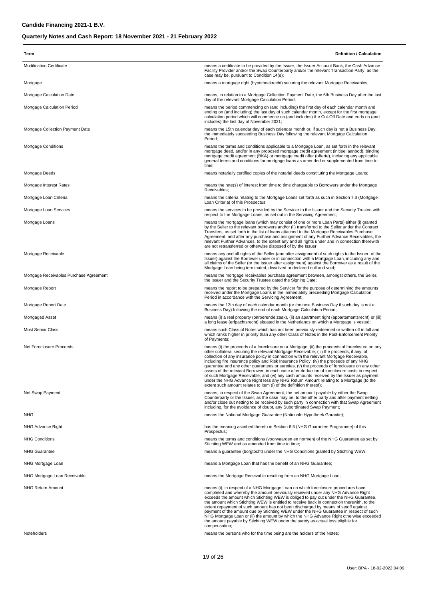| Term                                    | <b>Definition / Calculation</b>                                                                                                                                                                                                                                                                                                                                                                                                                                                                                                                                                                                                                                                                                                                                                                                                                |
|-----------------------------------------|------------------------------------------------------------------------------------------------------------------------------------------------------------------------------------------------------------------------------------------------------------------------------------------------------------------------------------------------------------------------------------------------------------------------------------------------------------------------------------------------------------------------------------------------------------------------------------------------------------------------------------------------------------------------------------------------------------------------------------------------------------------------------------------------------------------------------------------------|
| <b>Modification Certificate</b>         | means a certificate to be provided by the Issuer, the Issuer Account Bank, the Cash Advance<br>Facility Provider and/or the Swap Counterparty and/or the relevant Transaction Party, as the<br>case may be, pursuant to Condition 14(e);                                                                                                                                                                                                                                                                                                                                                                                                                                                                                                                                                                                                       |
| Mortgage                                | means a mortgage right (hypotheekrecht) securing the relevant Mortgage Receivables;                                                                                                                                                                                                                                                                                                                                                                                                                                                                                                                                                                                                                                                                                                                                                            |
| Mortgage Calculation Date               | means, in relation to a Mortgage Collection Payment Date, the 6th Business Day after the last<br>day of the relevant Mortgage Calculation Period;                                                                                                                                                                                                                                                                                                                                                                                                                                                                                                                                                                                                                                                                                              |
| Mortgage Calculation Period             | means the period commencing on (and including) the first day of each calendar month and<br>ending on (and including) the last day of such calendar month, except for the first mortgage<br>calculation period which will commence on (and includes) the Cut-Off Date and ends on (and<br>includes) the last day of November 2021;                                                                                                                                                                                                                                                                                                                                                                                                                                                                                                              |
| Mortgage Collection Payment Date        | means the 15th calendar day of each calendar month or, if such day is not a Business Day,<br>the immediately succeeding Business Day following the relevant Mortgage Calculation<br>Period:                                                                                                                                                                                                                                                                                                                                                                                                                                                                                                                                                                                                                                                    |
| <b>Mortgage Conditions</b>              | means the terms and conditions applicable to a Mortgage Loan, as set forth in the relevant<br>mortgage deed, and/or in any proposed mortgage credit agreement (initieel aanbod), binding<br>mortgage credit agreement (BKA) or mortgage credit offer (offerte), including any applicable<br>general terms and conditions for mortgage loans as amended or supplemented from time to<br>time;                                                                                                                                                                                                                                                                                                                                                                                                                                                   |
| Mortgage Deeds                          | means notarially certified copies of the notarial deeds constituting the Mortgage Loans;                                                                                                                                                                                                                                                                                                                                                                                                                                                                                                                                                                                                                                                                                                                                                       |
| Mortgage Interest Rates                 | means the rate(s) of interest from time to time chargeable to Borrowers under the Mortgage<br>Receivables;                                                                                                                                                                                                                                                                                                                                                                                                                                                                                                                                                                                                                                                                                                                                     |
| Mortgage Loan Criteria                  | means the criteria relating to the Mortgage Loans set forth as such in Section 7.3 (Mortgage<br>Loan Criteria) of this Prospectus;                                                                                                                                                                                                                                                                                                                                                                                                                                                                                                                                                                                                                                                                                                             |
| Mortgage Loan Services                  | means the services to be provided by the Servicer to the Issuer and the Security Trustee with<br>respect to the Mortgage Loans, as set out in the Servicing Agreement;                                                                                                                                                                                                                                                                                                                                                                                                                                                                                                                                                                                                                                                                         |
| Mortgage Loans                          | means the mortgage loans (which may consist of one or more Loan Parts) either (i) granted<br>by the Seller to the relevant borrowers and/or (ii) transferred to the Seller under the Contract<br>Transfers, as set forth in the list of loans attached to the Mortgage Receivables Purchase<br>Agreement, and after any purchase and assignment of any Further Advance Receivables, the<br>relevant Further Advances, to the extent any and all rights under and in connection therewith<br>are not retransferred or otherwise disposed of by the Issuer;                                                                                                                                                                                                                                                                                      |
| Mortgage Receivable                     | means any and all rights of the Seller (and after assignment of such rights to the Issuer, of the<br>Issuer) against the Borrower under or in connection with a Mortgage Loan, including any and<br>all claims of the Seller (or the Issuer after assignment) against the Borrower as a result of the<br>Mortgage Loan being terminated, dissolved or declared null and void;                                                                                                                                                                                                                                                                                                                                                                                                                                                                  |
| Mortgage Receivables Purchase Agreement | means the mortgage receivables purchase agreement between, amongst others, the Seller,<br>the Issuer and the Security Trustee dated the Signing Date;                                                                                                                                                                                                                                                                                                                                                                                                                                                                                                                                                                                                                                                                                          |
| Mortgage Report                         | means the report to be prepared by the Servicer for the purpose of determining the amounts<br>received under the Mortgage Loans in the immediately preceeding Mortgage Calculation<br>Period in accordance with the Servicing Agreement;                                                                                                                                                                                                                                                                                                                                                                                                                                                                                                                                                                                                       |
| Mortgage Report Date                    | means the 12th day of each calendar month (or the next Business Day if such day is not a<br>Business Day) following the end of each Mortgage Calculation Period;                                                                                                                                                                                                                                                                                                                                                                                                                                                                                                                                                                                                                                                                               |
| Mortgaged Asset                         | means (i) a real property (onroerende zaak), (ii) an apartment right (appartementsrecht) or (iii)<br>a long lease (erfpachtsrecht) situated in the Netherlands on which a Mortgage is vested;                                                                                                                                                                                                                                                                                                                                                                                                                                                                                                                                                                                                                                                  |
| <b>Most Senior Class</b>                | means such Class of Notes which has not been previously redeemed or written off in full and<br>which ranks higher in priority than any other Class of Notes in the Post-Enforcement Priority<br>of Payments;                                                                                                                                                                                                                                                                                                                                                                                                                                                                                                                                                                                                                                   |
| Net Foreclosure Proceeds                | means (i) the proceeds of a foreclosure on a Mortgage, (ii) the proceeds of foreclosure on any<br>other collateral securing the relevant Mortgage Receivable, (iii) the proceeds, if any, of<br>collection of any insurance policy in connection with the relevant Mortgage Receivable,<br>including fire insurance policy and Risk Insurance Policy, (iv) the proceeds of any NHG<br>guarantee and any other guarantees or sureties, (v) the proceeds of foreclosure on any other<br>assets of the relevant Borrower, in each case after deduction of foreclosure costs in respect<br>of such Mortgage Receivable, and (vi) any cash amounts received by the Issuer as payment<br>under the NHG Advance Right less any NHG Return Amount relating to a Mortgage (to the<br>extent such amount relates to item (i) of the definition thereof); |
| Net Swap Payment                        | means, in respect of the Swap Agreement, the net amount payable by either the Swap<br>Counterparty or the Issuer, as the case may be, to the other party and after payment netting<br>and/or close out netting to be received by such party in connection with that Swap Agreement<br>including, for the avoidance of doubt, any Subordinated Swap Payment;                                                                                                                                                                                                                                                                                                                                                                                                                                                                                    |
| <b>NHG</b>                              | means the National Mortgage Guarantee (Nationale Hypotheek Garantie);                                                                                                                                                                                                                                                                                                                                                                                                                                                                                                                                                                                                                                                                                                                                                                          |
| NHG Advance Right                       | has the meaning ascribed thereto in Section 6.5 (NHG Guarantee Programme) of this<br>Prospectus;                                                                                                                                                                                                                                                                                                                                                                                                                                                                                                                                                                                                                                                                                                                                               |
| <b>NHG Conditions</b>                   | means the terms and conditions (voorwaarden en normen) of the NHG Guarantee as set by<br>Stichting WEW and as amended from time to time;                                                                                                                                                                                                                                                                                                                                                                                                                                                                                                                                                                                                                                                                                                       |
| <b>NHG Guarantee</b>                    | means a quarantee (borgtocht) under the NHG Conditions granted by Stichting WEW;                                                                                                                                                                                                                                                                                                                                                                                                                                                                                                                                                                                                                                                                                                                                                               |
| NHG Mortgage Loan                       | means a Mortgage Loan that has the benefit of an NHG Guarantee;                                                                                                                                                                                                                                                                                                                                                                                                                                                                                                                                                                                                                                                                                                                                                                                |
| NHG Mortgage Loan Receivable            | means the Mortgage Receivable resulting from an NHG Mortgage Loan;                                                                                                                                                                                                                                                                                                                                                                                                                                                                                                                                                                                                                                                                                                                                                                             |
| NHG Return Amount<br>Noteholders        | means (i), in respect of a NHG Mortgage Loan on which foreclosure procedures have<br>completed and whereby the amount previously received under any NHG Advance Right<br>exceeds the amount which Stichting WEW is obliged to pay out under the NHG Guarantee,<br>the amount which Stichting WEW is entitled to receive back in connection therewith, to the<br>extent repayment of such amount has not been discharged by means of setoff against<br>payment of the amount due by Stichting WEW under the NHG Guarantee in respect of such<br>NHG Mortgage Loan or (ii) the amount by which the NHG Advance Right otherwise exceeded<br>the amount payable by Stichting WEW under the surety as actual loss eligible for<br>compensation;<br>means the persons who for the time being are the holders of the Notes;                           |
|                                         |                                                                                                                                                                                                                                                                                                                                                                                                                                                                                                                                                                                                                                                                                                                                                                                                                                                |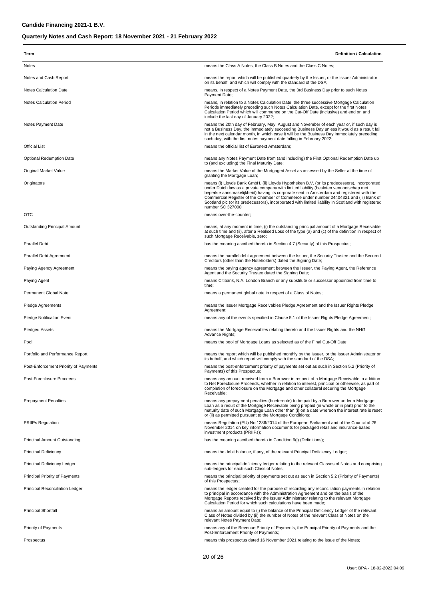| Term                                   | <b>Definition / Calculation</b>                                                                                                                                                                                                                                                                                                                                                                                                                                                                           |
|----------------------------------------|-----------------------------------------------------------------------------------------------------------------------------------------------------------------------------------------------------------------------------------------------------------------------------------------------------------------------------------------------------------------------------------------------------------------------------------------------------------------------------------------------------------|
| Notes                                  | means the Class A Notes, the Class B Notes and the Class C Notes;                                                                                                                                                                                                                                                                                                                                                                                                                                         |
| Notes and Cash Report                  | means the report which will be published quarterly by the Issuer, or the Issuer Administrator<br>on its behalf, and which will comply with the standard of the DSA;                                                                                                                                                                                                                                                                                                                                       |
| <b>Notes Calculation Date</b>          | means, in respect of a Notes Payment Date, the 3rd Business Day prior to such Notes<br>Payment Date;                                                                                                                                                                                                                                                                                                                                                                                                      |
| <b>Notes Calculation Period</b>        | means, in relation to a Notes Calculation Date, the three successive Mortgage Calculation<br>Periods immediately preceding such Notes Calculation Date, except for the first Notes<br>Calculation Period which will commence on the Cut-Off Date (inclusive) and end on and<br>include the last day of January 2022;                                                                                                                                                                                      |
| <b>Notes Payment Date</b>              | means the 20th day of February, May, August and November of each year or, if such day is<br>not a Business Day, the immediately succeeding Business Day unless it would as a result fall<br>in the next calendar month, in which case it will be the Business Day immediately preceding<br>such day, with the first notes payment date falling in February 2022;                                                                                                                                          |
| <b>Official List</b>                   | means the official list of Euronext Amsterdam;                                                                                                                                                                                                                                                                                                                                                                                                                                                            |
| <b>Optional Redemption Date</b>        | means any Notes Payment Date from (and including) the First Optional Redemption Date up<br>to (and excluding) the Final Maturity Date;                                                                                                                                                                                                                                                                                                                                                                    |
| Original Market Value                  | means the Market Value of the Mortgaged Asset as assessed by the Seller at the time of<br>granting the Mortgage Loan;                                                                                                                                                                                                                                                                                                                                                                                     |
| Originators                            | means (i) Lloyds Bank GmbH, (ii) Lloyds Hypotheken B.V. (or its predecessors), incorporated<br>under Dutch law as a private company with limited liability (besloten vennootschap met<br>beperkte aansprakelijkheid) having its corporate seat in Amsterdam and registered with the<br>Commercial Register of the Chamber of Commerce under number 24404321 and (iii) Bank of<br>Scotland plc (or its predecessors), incorporated with limited liability in Scotland with registered<br>number SC 327000. |
| OTC                                    | means over-the-counter;                                                                                                                                                                                                                                                                                                                                                                                                                                                                                   |
| Outstanding Principal Amount           | means, at any moment in time, (i) the outstanding principal amount of a Mortgage Receivable<br>at such time and (ii), after a Realised Loss of the type (a) and (c) of the definition in respect of<br>such Mortgage Receivable, zero;                                                                                                                                                                                                                                                                    |
| <b>Parallel Debt</b>                   | has the meaning ascribed thereto in Section 4.7 (Security) of this Prospectus;                                                                                                                                                                                                                                                                                                                                                                                                                            |
| Parallel Debt Agreement                | means the parallel debt agreement between the Issuer, the Security Trustee and the Secured<br>Creditors (other than the Noteholders) dated the Signing Date;                                                                                                                                                                                                                                                                                                                                              |
| Paying Agency Agreement                | means the paying agency agreement between the Issuer, the Paying Agent, the Reference<br>Agent and the Security Trustee dated the Signing Date;                                                                                                                                                                                                                                                                                                                                                           |
| Paying Agent                           | means Citibank, N.A. London Branch or any substitute or successor appointed from time to<br>time;                                                                                                                                                                                                                                                                                                                                                                                                         |
| Permanent Global Note                  | means a permanent global note in respect of a Class of Notes;                                                                                                                                                                                                                                                                                                                                                                                                                                             |
| Pledge Agreements                      | means the Issuer Mortgage Receivables Pledge Agreement and the Issuer Rights Pledge<br>Agreement;                                                                                                                                                                                                                                                                                                                                                                                                         |
| <b>Pledge Notification Event</b>       | means any of the events specified in Clause 5.1 of the Issuer Rights Pledge Agreement;                                                                                                                                                                                                                                                                                                                                                                                                                    |
| <b>Pledged Assets</b>                  | means the Mortgage Receivables relating thereto and the Issuer Rights and the NHG<br>Advance Rights;                                                                                                                                                                                                                                                                                                                                                                                                      |
| Pool                                   | means the pool of Mortgage Loans as selected as of the Final Cut-Off Date;                                                                                                                                                                                                                                                                                                                                                                                                                                |
| Portfolio and Performance Report       | means the report which will be published monthly by the Issuer, or the Issuer Administrator on<br>its behalf, and which report will comply with the standard of the DSA;                                                                                                                                                                                                                                                                                                                                  |
| Post-Enforcement Priority of Payments  | means the post-enforcement priority of payments set out as such in Section 5.2 (Priority of<br>Payments) of this Prospectus;                                                                                                                                                                                                                                                                                                                                                                              |
| Post-Foreclosure Proceeds              | means any amount received from a Borrower in respect of a Mortgage Receivable in addition<br>to Net Foreclosure Proceeds, whether in relation to interest, principal or otherwise, as part of<br>completion of foreclosure on the Mortgage and other collateral securing the Mortgage<br>Receivable;                                                                                                                                                                                                      |
| <b>Prepayment Penalties</b>            | means any prepayment penalties (boeterente) to be paid by a Borrower under a Mortgage<br>Loan as a result of the Mortgage Receivable being prepaid (in whole or in part) prior to the<br>maturity date of such Mortgage Loan other than (i) on a date whereon the interest rate is reset<br>or (ii) as permitted pursuant to the Mortgage Conditions;                                                                                                                                                     |
| <b>PRIIPs Regulation</b>               | means Regulation (EU) No 1286/2014 of the European Parliament and of the Council of 26<br>November 2014 on key information documents for packaged retail and insurance-based<br>investment products (PRIIPs);                                                                                                                                                                                                                                                                                             |
| Principal Amount Outstanding           | has the meaning ascribed thereto in Condition 6(j) (Definitions);                                                                                                                                                                                                                                                                                                                                                                                                                                         |
| <b>Principal Deficiency</b>            | means the debit balance, if any, of the relevant Principal Deficiency Ledger;                                                                                                                                                                                                                                                                                                                                                                                                                             |
| Principal Deficiency Ledger            | means the principal deficiency ledger relating to the relevant Classes of Notes and comprising<br>sub-ledgers for each such Class of Notes;                                                                                                                                                                                                                                                                                                                                                               |
| <b>Principal Priority of Payments</b>  | means the principal priority of payments set out as such in Section 5.2 (Priority of Payments)<br>of this Prospectus;                                                                                                                                                                                                                                                                                                                                                                                     |
| <b>Principal Reconciliation Ledger</b> | means the ledger created for the purpose of recording any reconciliation payments in relation<br>to principal in accordance with the Administration Agreement and on the basis of the<br>Mortgage Reports received by the Issuer Administrator relating to the relevant Mortgage<br>Calculation Period for which such calculations have been made;                                                                                                                                                        |
| <b>Principal Shortfall</b>             | means an amount equal to (i) the balance of the Principal Deficiency Ledger of the relevant<br>Class of Notes divided by (ii) the number of Notes of the relevant Class of Notes on the<br>relevant Notes Payment Date;                                                                                                                                                                                                                                                                                   |
| <b>Priority of Payments</b>            | means any of the Revenue Priority of Payments, the Principal Priority of Payments and the<br>Post-Enforcement Priority of Payments;                                                                                                                                                                                                                                                                                                                                                                       |
| Prospectus                             | means this prospectus dated 16 November 2021 relating to the issue of the Notes;                                                                                                                                                                                                                                                                                                                                                                                                                          |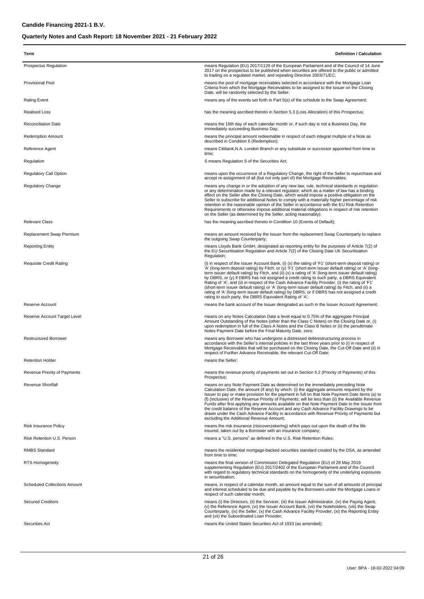| Term                                | <b>Definition / Calculation</b>                                                                                                                                                                                                                                                                                                                                                                                                                                                                                                                                                                                                                                                                                                                                                         |
|-------------------------------------|-----------------------------------------------------------------------------------------------------------------------------------------------------------------------------------------------------------------------------------------------------------------------------------------------------------------------------------------------------------------------------------------------------------------------------------------------------------------------------------------------------------------------------------------------------------------------------------------------------------------------------------------------------------------------------------------------------------------------------------------------------------------------------------------|
| Prospectus Regulation               | means Regulation (EU) 2017/1129 of the European Parliament and of the Council of 14 June<br>2017 on the prospectus to be published when securities are offered to the public or admitted<br>to trading on a regulated market, and repealing Directive 2003/71/EC;                                                                                                                                                                                                                                                                                                                                                                                                                                                                                                                       |
| <b>Provisional Pool</b>             | means the pool of mortgage receivables selected in accordance with the Mortgage Loan<br>Criteria from which the Mortgage Receivables to be assigned to the Issuer on the Closing<br>Date, will be randomly selected by the Seller;                                                                                                                                                                                                                                                                                                                                                                                                                                                                                                                                                      |
| <b>Rating Event</b>                 | means any of the events set forth in Part 5(e) of the schedule to the Swap Agreement;                                                                                                                                                                                                                                                                                                                                                                                                                                                                                                                                                                                                                                                                                                   |
| <b>Realised Loss</b>                | has the meaning ascribed thereto in Section 5.3 (Loss Allocation) of this Prospectus;                                                                                                                                                                                                                                                                                                                                                                                                                                                                                                                                                                                                                                                                                                   |
| <b>Reconciliation Date</b>          | means the 15th day of each calendar month or, if such day is not a Business Day, the<br>immediately succeeding Business Day;                                                                                                                                                                                                                                                                                                                                                                                                                                                                                                                                                                                                                                                            |
| <b>Redemption Amount</b>            | means the principal amount redeemable in respect of each integral multiple of a Note as<br>described in Condition 6 (Redemption);                                                                                                                                                                                                                                                                                                                                                                                                                                                                                                                                                                                                                                                       |
| Reference Agent                     | means Citibank, N.A. London Branch or any substitute or successor appointed from time to<br>time;                                                                                                                                                                                                                                                                                                                                                                                                                                                                                                                                                                                                                                                                                       |
| Regulation                          | S means Regulation S of the Securities Act;                                                                                                                                                                                                                                                                                                                                                                                                                                                                                                                                                                                                                                                                                                                                             |
| <b>Regulatory Call Option</b>       | means upon the occurrence of a Regulatory Change, the right of the Seller to repurchase and<br>accept re-assignment of all (but not only part of) the Mortgage Receivables;                                                                                                                                                                                                                                                                                                                                                                                                                                                                                                                                                                                                             |
| <b>Regulatory Change</b>            | means any change in or the adoption of any new law, rule, technical standards or regulation<br>or any determination made by a relevant regulator, which as a matter of law has a binding<br>effect on the Seller after the Closing Date, which would impose a positive obligation on the<br>Seller to subscribe for additional Notes to comply with a materially higher percentage of risk<br>retention in the reasonable opinion of the Seller in accordance with the EU Risk Retention<br>Requirements or otherwise impose additional material obligations in respect of risk retention<br>on the Seller (as determined by the Seller, acting reasonably);                                                                                                                            |
| <b>Relevant Class</b>               | has the meaning ascribed thereto in Condition 10 (Events of Default);                                                                                                                                                                                                                                                                                                                                                                                                                                                                                                                                                                                                                                                                                                                   |
| Replacement Swap Premium            | means an amount received by the Issuer from the replacement Swap Counterparty to replace<br>the outgoing Swap Counterparty;                                                                                                                                                                                                                                                                                                                                                                                                                                                                                                                                                                                                                                                             |
| <b>Reporting Entity</b>             | means Lloyds Bank GmbH, designated as reporting entity for the purposes of Article 7(2) of<br>the EU Securitisation Regulation and Article 7(2) of the Closing Date UK Securitisation<br>Regulation;                                                                                                                                                                                                                                                                                                                                                                                                                                                                                                                                                                                    |
| <b>Requisite Credit Rating</b>      | (i) in respect of the Issuer Account Bank, (i) (x) the rating of 'F1' (short-term deposit rating) or<br>'A' (long-term deposit rating) by Fitch, or (y) 'F1' (short-term issuer default rating) or 'A' (long-<br>term issuer default rating) by Fitch, and (ii) (x) a rating of 'A' (long-term issuer default rating)<br>by DBRS, or (y) if DBRS has not assigned a credit rating to such party, a DBRS Equivalent<br>Rating of 'A'; and (ii) in respect of the Cash Advance Facility Provider, (i) the rating of 'F1'<br>(short-term issuer default rating) or 'A' (long-term issuer default rating) by Fitch, and (ii) a<br>rating of 'A' (long-term issuer default rating) by DBRS, or if DBRS has not assigned a credit<br>rating to such party, the DBRS Equivalent Rating of 'A'; |
| Reserve Account                     | means the bank account of the Issuer designated as such in the Issuer Account Agreement;                                                                                                                                                                                                                                                                                                                                                                                                                                                                                                                                                                                                                                                                                                |
| Reserve Account Target Level        | means on any Notes Calculation Date a level equal to 0.75% of the aggregate Principal<br>Amount Outstanding of the Notes (other than the Class C Notes) on the Closing Date or, (i)<br>upon redemption in full of the Class A Notes and the Class B Notes or (ii) the penultimate<br>Notes Payment Date before the Final Maturity Date, zero;                                                                                                                                                                                                                                                                                                                                                                                                                                           |
| <b>Restructured Borrower</b>        | means any Borrower who has undergone a distressed debtrestructuring process in<br>accordance with the Seller's internal policies in the last three years prior to (i) in respect of<br>Mortgage Receivables that will be purchased on the Closing Date, the Cut-Off Date and (ii) in<br>respect of Further Advance Receivable, the relevant Cut-Off Date;                                                                                                                                                                                                                                                                                                                                                                                                                               |
| <b>Retention Holder</b>             | means the Seller;                                                                                                                                                                                                                                                                                                                                                                                                                                                                                                                                                                                                                                                                                                                                                                       |
| <b>Revenue Priority of Payments</b> | means the revenue priority of payments set out in Section 5.2 (Priority of Payments) of this<br>Prospectus;                                                                                                                                                                                                                                                                                                                                                                                                                                                                                                                                                                                                                                                                             |
| Revenue Shortfall                   | means on any Note Payment Date as determined on the immediately preceding Note<br>Calculation Date, the amount (if any) by which: (i) the aggregate amounts required by the<br>Issuer to pay or make provision for the payment in full on that Note Payment Date items (a) to<br>(f) (inclusive) of the Revenue Priority of Payments; will be less than (ii) the Available Revenue<br>Funds after first applying any amounts available on that Note Payment Date to the Issuer from<br>the credit balance of the Reserve Account and any Cash Advance Facility Drawings to be<br>drawn under the Cash Advance Facility in accordance with Revenue Priority of Payments but<br>excluding the Additional Revenue Amount;                                                                  |
| <b>Risk Insurance Policy</b>        | means the risk insurance (risicoverzekering) which pays out upon the death of the life<br>insured, taken out by a Borrower with an insurance company;                                                                                                                                                                                                                                                                                                                                                                                                                                                                                                                                                                                                                                   |
| Risk Retention U.S. Person          | means a "U.S. persons" as defined in the U.S. Risk Retention Rules;                                                                                                                                                                                                                                                                                                                                                                                                                                                                                                                                                                                                                                                                                                                     |
| <b>RMBS Standard</b>                | means the residential mortgage-backed securities standard created by the DSA, as amended<br>from time to time;                                                                                                                                                                                                                                                                                                                                                                                                                                                                                                                                                                                                                                                                          |
| <b>RTS Homogeneity</b>              | means the final version of Commission Delegated Regulation (EU) of 28 May 2019<br>supplementing Regulation (EU) 2017/2402 of the European Parliament and of the Council<br>with regard to regulatory technical standards on the homogeneity of the underlying exposures<br>in securitisation;                                                                                                                                                                                                                                                                                                                                                                                                                                                                                           |
| <b>Scheduled Collections Amount</b> | means, in respect of a calendar month, an amount equal to the sum of all amounts of principal<br>and interest scheduled to be due and payable by the Borrowers under the Mortgage Loans in<br>respect of such calendar month;                                                                                                                                                                                                                                                                                                                                                                                                                                                                                                                                                           |
| <b>Secured Creditors</b>            | means (i) the Directors, (ii) the Servicer, (iii) the Issuer Administrator, (iv) the Paying Agent,<br>(v) the Reference Agent, (vi) the Issuer Account Bank, (vii) the Noteholders, (viii) the Swap<br>Counterparty, (ix) the Seller, (x) the Cash Advance Facility Provider, (xi) the Reporting Entity<br>and (xii) the Subordinated Loan Provider;                                                                                                                                                                                                                                                                                                                                                                                                                                    |
| <b>Securities Act</b>               | means the United States Securities Act of 1933 (as amended);                                                                                                                                                                                                                                                                                                                                                                                                                                                                                                                                                                                                                                                                                                                            |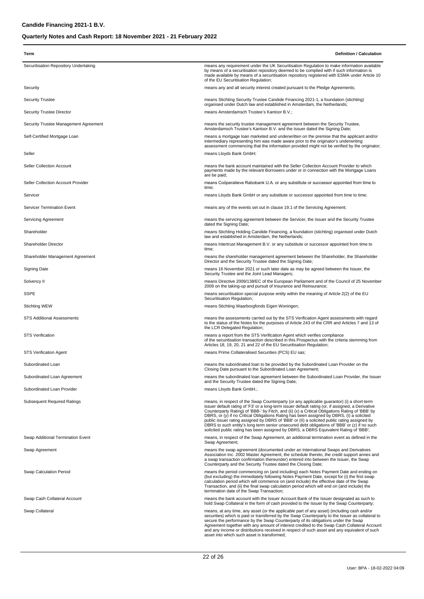| Term                                  | <b>Definition / Calculation</b>                                                                                                                                                                                                                                                                                                                                                                                                                                                                                                                                                                                                                                                         |
|---------------------------------------|-----------------------------------------------------------------------------------------------------------------------------------------------------------------------------------------------------------------------------------------------------------------------------------------------------------------------------------------------------------------------------------------------------------------------------------------------------------------------------------------------------------------------------------------------------------------------------------------------------------------------------------------------------------------------------------------|
| Securitisation Repository Undertaking | means any requirement under the UK Securitisation Regulation to make information available<br>by means of a securitisation repository deemed to be complied with if such information is<br>made available by means of a securitisation repository registered with ESMA under Article 10<br>of the EU Securitisation Regulation;                                                                                                                                                                                                                                                                                                                                                         |
| Security                              | means any and all security interest created pursuant to the Pledge Agreements;                                                                                                                                                                                                                                                                                                                                                                                                                                                                                                                                                                                                          |
| <b>Security Trustee</b>               | means Stichting Security Trustee Candide Financing 2021-1, a foundation (stichting)<br>organised under Dutch law and established in Amsterdam, the Netherlands;                                                                                                                                                                                                                                                                                                                                                                                                                                                                                                                         |
| <b>Security Trustee Director</b>      | means Amsterdamsch Trustee's Kantoor B.V.;                                                                                                                                                                                                                                                                                                                                                                                                                                                                                                                                                                                                                                              |
| Security Trustee Management Agreement | means the security trustee management agreement between the Security Trustee,<br>Amsterdamsch Trustee's Kantoor B.V. and the Issuer dated the Signing Date;                                                                                                                                                                                                                                                                                                                                                                                                                                                                                                                             |
| Self-Certified Mortgage Loan          | means a mortgage loan marketed and underwritten on the premise that the applicant and/or<br>intermediary representing him was made aware prior to the originator's underwriting<br>assessment commencing that the information provided might not be verified by the originator;                                                                                                                                                                                                                                                                                                                                                                                                         |
| Seller                                | means Lloyds Bank GmbH;                                                                                                                                                                                                                                                                                                                                                                                                                                                                                                                                                                                                                                                                 |
| Seller Collection Account             | means the bank account maintained with the Seller Collection Account Provider to which<br>payments made by the relevant Borrowers under or in connection with the Mortgage Loans<br>are be paid;                                                                                                                                                                                                                                                                                                                                                                                                                                                                                        |
| Seller Collection Account Provider    | means Coöperatieve Rabobank U.A. or any substitute or successor appointed from time to<br>time;                                                                                                                                                                                                                                                                                                                                                                                                                                                                                                                                                                                         |
| Servicer                              | means Lloyds Bank GmbH or any substitute or successor appointed from time to time;                                                                                                                                                                                                                                                                                                                                                                                                                                                                                                                                                                                                      |
| <b>Servicer Termination Event</b>     | means any of the events set out in clause 19.1 of the Servicing Agreement;                                                                                                                                                                                                                                                                                                                                                                                                                                                                                                                                                                                                              |
| Servicing Agreement                   | means the servicing agreement between the Servicer, the Issuer and the Security Trustee<br>dated the Signing Date;                                                                                                                                                                                                                                                                                                                                                                                                                                                                                                                                                                      |
| Shareholder                           | means Stichting Holding Candide Financing, a foundation (stichting) organised under Dutch<br>law and established in Amsterdam, the Netherlands;                                                                                                                                                                                                                                                                                                                                                                                                                                                                                                                                         |
| Shareholder Director                  | means Intertrust Management B.V. or any substitute or successor appointed from time to<br>time;                                                                                                                                                                                                                                                                                                                                                                                                                                                                                                                                                                                         |
| Shareholder Management Agreement      | means the shareholder management agreement between the Shareholder, the Shareholder<br>Director and the Security Trustee dated the Signing Date;                                                                                                                                                                                                                                                                                                                                                                                                                                                                                                                                        |
| <b>Signing Date</b>                   | means 16 November 2021 or such later date as may be agreed between the Issuer, the<br>Security Trustee and the Joint Lead Managers;                                                                                                                                                                                                                                                                                                                                                                                                                                                                                                                                                     |
| Solvency II                           | means Directive 2009/138/EC of the European Parliament and of the Council of 25 November<br>2009 on the taking-up and pursuit of Insurance and Reinsurance;                                                                                                                                                                                                                                                                                                                                                                                                                                                                                                                             |
| <b>SSPE</b>                           | means securitisation special purpose entity within the meaning of Article 2(2) of the EU<br>Securitisation Regulation;                                                                                                                                                                                                                                                                                                                                                                                                                                                                                                                                                                  |
| <b>Stichting WEW</b>                  | means Stichting Waarborgfonds Eigen Woningen;                                                                                                                                                                                                                                                                                                                                                                                                                                                                                                                                                                                                                                           |
| <b>STS Additional Assessments</b>     | means the assessments carried out by the STS Verification Agent assessments with regard<br>to the status of the Notes for the purposes of Article 243 of the CRR and Articles 7 and 13 of<br>the LCR Delegated Regulation;                                                                                                                                                                                                                                                                                                                                                                                                                                                              |
| <b>STS Verification</b>               | means a report from the STS Verification Agent which verifies compliance<br>of the securitisation transaction described in this Prospectus with the criteria stemming from<br>Articles 18, 19, 20, 21 and 22 of the EU Securitisation Regulation;                                                                                                                                                                                                                                                                                                                                                                                                                                       |
| <b>STS Verification Agent</b>         | means Prime Collateralised Securities (PCS) EU sas;                                                                                                                                                                                                                                                                                                                                                                                                                                                                                                                                                                                                                                     |
| Subordinated Loan                     | means the subordinated loan to be provided by the Subordinated Loan Provider on the<br>Closing Date pursuant to the Subordinated Loan Agreement;                                                                                                                                                                                                                                                                                                                                                                                                                                                                                                                                        |
| Subordinated Loan Agreement           | means the subordinated loan agreement between the Subordinated Loan Provider, the Issuer<br>and the Security Trustee dated the Signing Date;                                                                                                                                                                                                                                                                                                                                                                                                                                                                                                                                            |
| Subordinated Loan Provider            | means Lloyds Bank GmbH.;                                                                                                                                                                                                                                                                                                                                                                                                                                                                                                                                                                                                                                                                |
| <b>Subsequent Required Ratings</b>    | means, in respect of the Swap Counterparty (or any applicable guarantor) (i) a short-term<br>issuer default rating of 'F3' or a long-term issuer default rating (or, if assigned, a Derivative<br>Counterparty Rating) of 'BBB-' by Fitch, and (ii) (x) a Critical Obligations Rating of 'BBB' by<br>DBRS, or (y) if no Critical Obligations Rating has been assigned by DBRS, (I) a solicited<br>public issuer rating assigned by DBRS of 'BBB' or (II) a solicited public rating assigned by<br>DBRS to such entity's long term senior unsecured debt obligations of 'BBB' or (z) if no such<br>solicited public rating has been assigned by DBRS, a DBRS Equivalent Rating of 'BBB'; |
| Swap Additional Termination Event     | means, in respect of the Swap Agreement, an additional termination event as defined in the<br>Swap Agreement;                                                                                                                                                                                                                                                                                                                                                                                                                                                                                                                                                                           |
| Swap Agreement                        | means the swap agreement (documented under an International Swaps and Derivatives<br>Association Inc. 2002 Master Agreement, the schedule thereto, the credit support annex and<br>a swap transaction confirmation thereunder) entered into between the Issuer, the Swap<br>Counterparty and the Security Trustee dated the Closing Date;                                                                                                                                                                                                                                                                                                                                               |
| Swap Calculation Period               | means the period commencing on (and including) each Notes Payment Date and ending on<br>(but excluding) the immediately following Notes Payment Date, except for (i) the first swap<br>calculation period which will commence on (and include) the effective date of the Swap<br>Transaction, and (ii) the final swap calculation period which will end on (and include) the<br>termination date of the Swap Transaction;                                                                                                                                                                                                                                                               |
| Swap Cash Collateral Account          | means the bank account with the Issuer Account Bank of the Issuer designated as such to<br>hold Swap Collateral in the form of cash provided to the Issuer by the Swap Counterparty;                                                                                                                                                                                                                                                                                                                                                                                                                                                                                                    |
| Swap Collateral                       | means, at any time, any asset (or the applicable part of any asset) (including cash and/or<br>securities) which is paid or transferred by the Swap Counterparty to the Issuer as collateral to<br>secure the performance by the Swap Counterparty of its obligations under the Swap<br>Agreement together with any amount of interest credited to the Swap Cash Collateral Account<br>and any income or distributions received in respect of such asset and any equivalent of such<br>asset into which such asset is transformed;                                                                                                                                                       |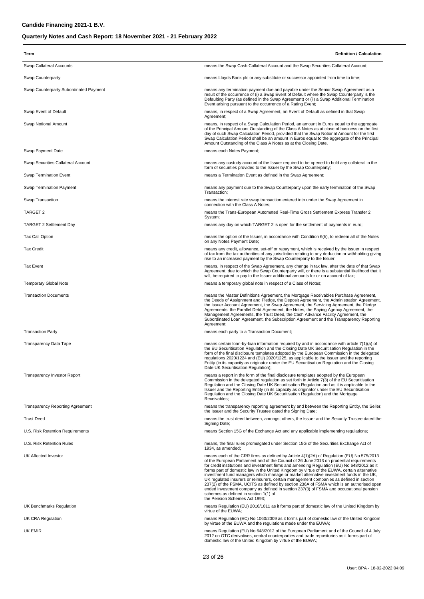| Term                                    | <b>Definition / Calculation</b>                                                                                                                                                                                                                                                                                                                                                                                                                                                                                                                                                                                                                                                                                                                                                                                                           |
|-----------------------------------------|-------------------------------------------------------------------------------------------------------------------------------------------------------------------------------------------------------------------------------------------------------------------------------------------------------------------------------------------------------------------------------------------------------------------------------------------------------------------------------------------------------------------------------------------------------------------------------------------------------------------------------------------------------------------------------------------------------------------------------------------------------------------------------------------------------------------------------------------|
| Swap Collateral Accounts                | means the Swap Cash Collateral Account and the Swap Securities Collateral Account;                                                                                                                                                                                                                                                                                                                                                                                                                                                                                                                                                                                                                                                                                                                                                        |
| Swap Counterparty                       | means Lloyds Bank plc or any substitute or successor appointed from time to time;                                                                                                                                                                                                                                                                                                                                                                                                                                                                                                                                                                                                                                                                                                                                                         |
| Swap Counterparty Subordinated Payment  | means any termination payment due and payable under the Senior Swap Agreement as a<br>result of the occurrence of (i) a Swap Event of Default where the Swap Counterparty is the<br>Defaulting Party (as defined in the Swap Agreement) or (ii) a Swap Additional Termination<br>Event arising pursuant to the occurrence of a Rating Event;                                                                                                                                                                                                                                                                                                                                                                                                                                                                                              |
| Swap Event of Default                   | means, in respect of a Swap Agreement, an Event of Default as defined in that Swap<br>Agreement;                                                                                                                                                                                                                                                                                                                                                                                                                                                                                                                                                                                                                                                                                                                                          |
| Swap Notional Amount                    | means, in respect of a Swap Calculation Period, an amount in Euros equal to the aggregate<br>of the Principal Amount Outstanding of the Class A Notes as at close of business on the first<br>day of such Swap Calculation Period, provided that the Swap Notional Amount for the first<br>Swap Calculation Period shall be an amount in Euros equal to the aggregate of the Principal<br>Amount Outstanding of the Class A Notes as at the Closing Date.                                                                                                                                                                                                                                                                                                                                                                                 |
| Swap Payment Date                       | means each Notes Payment;                                                                                                                                                                                                                                                                                                                                                                                                                                                                                                                                                                                                                                                                                                                                                                                                                 |
| Swap Securities Collateral Account      | means any custody account of the Issuer required to be opened to hold any collateral in the<br>form of securities provided to the Issuer by the Swap Counterparty;                                                                                                                                                                                                                                                                                                                                                                                                                                                                                                                                                                                                                                                                        |
| <b>Swap Termination Event</b>           | means a Termination Event as defined in the Swap Agreement;                                                                                                                                                                                                                                                                                                                                                                                                                                                                                                                                                                                                                                                                                                                                                                               |
| <b>Swap Termination Payment</b>         | means any payment due to the Swap Counterparty upon the early termination of the Swap<br>Transaction;                                                                                                                                                                                                                                                                                                                                                                                                                                                                                                                                                                                                                                                                                                                                     |
| Swap Transaction                        | means the interest rate swap transaction entered into under the Swap Agreement in<br>connection with the Class A Notes:                                                                                                                                                                                                                                                                                                                                                                                                                                                                                                                                                                                                                                                                                                                   |
| TARGET 2                                | means the Trans-European Automated Real-Time Gross Settlement Express Transfer 2<br>System;                                                                                                                                                                                                                                                                                                                                                                                                                                                                                                                                                                                                                                                                                                                                               |
| <b>TARGET 2 Settlement Day</b>          | means any day on which TARGET 2 is open for the settlement of payments in euro;                                                                                                                                                                                                                                                                                                                                                                                                                                                                                                                                                                                                                                                                                                                                                           |
| Tax Call Option                         | means the option of the Issuer, in accordance with Condition $6(h)$ , to redeem all of the Notes<br>on any Notes Payment Date;                                                                                                                                                                                                                                                                                                                                                                                                                                                                                                                                                                                                                                                                                                            |
| <b>Tax Credit</b>                       | means any credit, allowance, set-off or repayment, which is received by the Issuer in respect<br>of tax from the tax authorities of any jurisdiction relating to any deduction or withholding giving<br>rise to an increased payment by the Swap Counterparty to the Issuer;                                                                                                                                                                                                                                                                                                                                                                                                                                                                                                                                                              |
| <b>Tax Event</b>                        | means, in respect of the Swap Agreement, any change in tax law, after the date of that Swap<br>Agreement, due to which the Swap Counterparty will, or there is a substantial likelihood that it<br>will, be required to pay to the Issuer additional amounts for or on account of tax;                                                                                                                                                                                                                                                                                                                                                                                                                                                                                                                                                    |
| <b>Temporary Global Note</b>            | means a temporary global note in respect of a Class of Notes;                                                                                                                                                                                                                                                                                                                                                                                                                                                                                                                                                                                                                                                                                                                                                                             |
| <b>Transaction Documents</b>            | means the Master Definitions Agreement, the Mortgage Receivables Purchase Agreement,<br>the Deeds of Assignment and Pledge, the Deposit Agreement, the Administration Agreement,<br>the Issuer Account Agreement, the Swap Agreement, the Servicing Agreement, the Pledge<br>Agreements, the Parallel Debt Agreement, the Notes, the Paying Agency Agreement, the<br>Management Agreements, the Trust Deed, the Cash Advance Facility Agreement, the<br>Subordinated Loan Agreement, the Subscription Agreement and the Transparency Reporting<br>Agreement;                                                                                                                                                                                                                                                                              |
| <b>Transaction Party</b>                | means each party to a Transaction Document;                                                                                                                                                                                                                                                                                                                                                                                                                                                                                                                                                                                                                                                                                                                                                                                               |
| <b>Transparency Data Tape</b>           | means certain loan-by-loan information required by and in accordance with article 7(1)(a) of<br>the EU Securitisation Regulation and the Closing Date UK Securitisation Regulation in the<br>form of the final disclosure templates adopted by the European Commission in the delegated<br>regulations 2020/1224 and (EU) 2020/1225, as applicable to the Issuer and the reporting<br>Entity (in its capacity as originator under the EU Securitisation Regulation and the Closing<br>Date UK Securitisation Regulation);                                                                                                                                                                                                                                                                                                                 |
| <b>Transparency Investor Report</b>     | means a report in the form of the final disclosure templates adopted by the European<br>Commission in the delegated regulation as set forth in Article 7(3) of the EU Securitisation<br>Regulation and the Closing Date UK Securitisation Regulation and as it is applicable to the<br>Issuer and the Reporting Entity (in its capacity as originator under the EU Securitisation<br>Regulation and the Closing Date UK Securitisation Regulation) and the Mortgage<br>Receivables;                                                                                                                                                                                                                                                                                                                                                       |
| <b>Transparency Reporting Agreement</b> | means the transparency reporting agreement by and between the Reporting Entity, the Seller,<br>the Issuer and the Security Trustee dated the Signing Date;                                                                                                                                                                                                                                                                                                                                                                                                                                                                                                                                                                                                                                                                                |
| <b>Trust Deed</b>                       | means the trust deed between, amongst others, the Issuer and the Security Trustee dated the<br>Signing Date;                                                                                                                                                                                                                                                                                                                                                                                                                                                                                                                                                                                                                                                                                                                              |
| U.S. Risk Retention Requirements        | means Section 15G of the Exchange Act and any applicable implementing regulations;                                                                                                                                                                                                                                                                                                                                                                                                                                                                                                                                                                                                                                                                                                                                                        |
| U.S. Risk Retention Rules               | means, the final rules promulgated under Section 15G of the Securities Exchange Act of<br>1934, as amended;                                                                                                                                                                                                                                                                                                                                                                                                                                                                                                                                                                                                                                                                                                                               |
| UK Affected Investor                    | means each of the CRR firms as defined by Article 4(1)(2A) of Regulation (EU) No 575/2013<br>of the European Parliament and of the Council of 26 June 2013 on prudential requirements<br>for credit institutions and investment firms and amending Regulation (EU) No 648/2012 as it<br>forms part of domestic law in the United Kingdom by virtue of the EUWA, certain alternative<br>investment fund managers which manage or market alternative investment funds in the UK,<br>UK regulated insurers or reinsurers, certain management companies as defined in section<br>237(2) of the FSMA, UCITS as defined by section 236A of FSMA which is an authorised open<br>ended investment company as defined in section 237(3) of FSMA and occupational pension<br>schemes as defined in section 1(1) of<br>the Pension Schemes Act 1993; |
| UK Benchmarks Regulation                | means Regulation (EU) 2016/1011 as it forms part of domestic law of the United Kingdom by<br>virtue of the EUWA;                                                                                                                                                                                                                                                                                                                                                                                                                                                                                                                                                                                                                                                                                                                          |
| UK CRA Regulation                       | means Regulation (EC) No 1060/2009 as it forms part of domestic law of the United Kingdom<br>by virtue of the EUWA and the regulations made under the EUWA;                                                                                                                                                                                                                                                                                                                                                                                                                                                                                                                                                                                                                                                                               |
| UK EMIR                                 | means Regulation (EU) No 648/2012 of the European Parliament and of the Council of 4 July<br>2012 on OTC derivatives, central counterparties and trade repositories as it forms part of<br>domestic law of the United Kingdom by virtue of the EUWA;                                                                                                                                                                                                                                                                                                                                                                                                                                                                                                                                                                                      |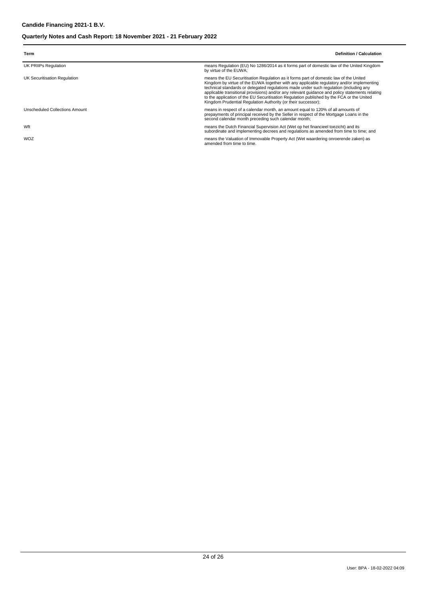| Term                           | <b>Definition / Calculation</b>                                                                                                                                                                                                                                                                                                                                                                                                                                                                                                               |
|--------------------------------|-----------------------------------------------------------------------------------------------------------------------------------------------------------------------------------------------------------------------------------------------------------------------------------------------------------------------------------------------------------------------------------------------------------------------------------------------------------------------------------------------------------------------------------------------|
| UK PRIIPs Regulation           | means Regulation (EU) No 1286/2014 as it forms part of domestic law of the United Kingdom<br>by virtue of the EUWA;                                                                                                                                                                                                                                                                                                                                                                                                                           |
| UK Securitisation Regulation   | means the EU Securitisation Regulation as it forms part of domestic law of the United<br>Kingdom by virtue of the EUWA together with any applicable regulatory and/or implementing<br>technical standards or delegated regulations made under such regulation (including any<br>applicable transitional provisions) and/or any relevant guidance and policy statements relating<br>to the application of the EU Securitisation Regulation published by the FCA or the United<br>Kingdom Prudential Regulation Authority (or their successor); |
| Unscheduled Collections Amount | means in respect of a calendar month, an amount equal to 120% of all amounts of<br>prepayments of principal received by the Seller in respect of the Mortgage Loans in the<br>second calendar month preceding such calendar month;                                                                                                                                                                                                                                                                                                            |
| Wft                            | means the Dutch Financial Supervision Act (Wet op het financieel toezicht) and its<br>subordinate and implementing decrees and regulations as amended from time to time; and                                                                                                                                                                                                                                                                                                                                                                  |

WOZ means the Valuation of Immovable Property Act (Wet waardering onroerende zaken) as amended from time to time.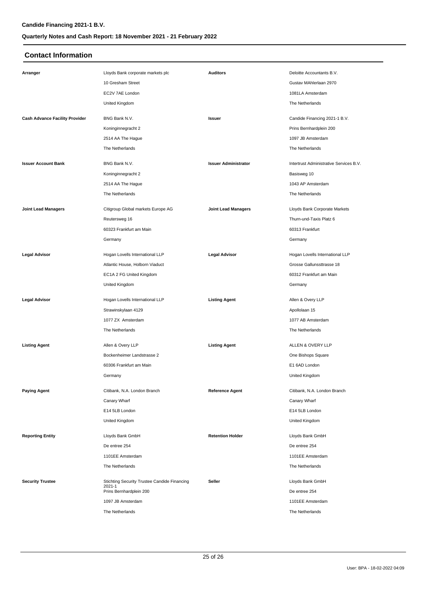## **Contact Information**

| Arranger                              | Lloyds Bank corporate markets plc            | <b>Auditors</b>             | Deloitte Accountants B.V.               |
|---------------------------------------|----------------------------------------------|-----------------------------|-----------------------------------------|
|                                       | 10 Gresham Street                            |                             | Gustav MAhlerlaan 2970                  |
|                                       | EC2V 7AE London                              |                             | 1081LA Amsterdam                        |
|                                       | United Kingdom                               |                             | The Netherlands                         |
| <b>Cash Advance Facility Provider</b> | BNG Bank N.V.                                | Issuer                      | Candide Financing 2021-1 B.V.           |
|                                       | Koninginnegracht 2                           |                             | Prins Bernhardplein 200                 |
|                                       | 2514 AA The Hague                            |                             | 1097 JB Amsterdam                       |
|                                       | The Netherlands                              |                             | The Netherlands                         |
| <b>Issuer Account Bank</b>            | BNG Bank N.V.                                | <b>Issuer Administrator</b> | Intertrust Administrative Services B.V. |
|                                       | Koninginnegracht 2                           |                             | Basisweg 10                             |
|                                       | 2514 AA The Hague                            |                             | 1043 AP Amsterdam                       |
|                                       | The Netherlands                              |                             | The Netherlands                         |
| <b>Joint Lead Managers</b>            | Citigroup Global markets Europe AG           | <b>Joint Lead Managers</b>  | Lloyds Bank Corporate Markets           |
|                                       | Reutersweg 16                                |                             | Thurn-und-Taxis Platz 6                 |
|                                       | 60323 Frankfurt am Main                      |                             | 60313 Frankfurt                         |
|                                       | Germany                                      |                             | Germany                                 |
|                                       |                                              |                             |                                         |
| <b>Legal Advisor</b>                  | Hogan Lovells International LLP              | <b>Legal Advisor</b>        | Hogan Lovells International LLP         |
|                                       | Atlantic House, Holborn Viaduct              |                             | Grosse Gallunssttrasse 18               |
|                                       | EC1A 2 FG United Kingdom                     |                             | 60312 Frankfurt am Main                 |
|                                       | United Kingdom                               |                             | Germany                                 |
| <b>Legal Advisor</b>                  | Hogan Lovells International LLP              | <b>Listing Agent</b>        | Allen & Overy LLP                       |
|                                       | Strawinskylaan 4129                          |                             | Apollolaan 15                           |
|                                       | 1077 ZX Amsterdam                            |                             | 1077 AB Amsterdam                       |
|                                       | The Netherlands                              |                             | The Netherlands                         |
| <b>Listing Agent</b>                  | Allen & Overy LLP                            | <b>Listing Agent</b>        | ALLEN & OVERY LLP                       |
|                                       | Bockenheimer Landstrasse 2                   |                             | One Bishops Square                      |
|                                       | 60306 Frankfurt am Main                      |                             | E1 6AD London                           |
|                                       | Germany                                      |                             | United Kingdom                          |
|                                       |                                              |                             |                                         |
| <b>Paying Agent</b>                   | Citibank, N.A. London Branch                 | <b>Reference Agent</b>      | Citibank, N.A. London Branch            |
|                                       | Canary Wharf                                 |                             | Canary Wharf                            |
|                                       | E14 5LB London                               |                             | E14 5LB London                          |
|                                       | United Kingdom                               |                             | United Kingdom                          |
| <b>Reporting Entity</b>               | Lloyds Bank GmbH                             | <b>Retention Holder</b>     | Lloyds Bank GmbH                        |
|                                       | De entree 254                                |                             | De entree 254                           |
|                                       | 1101EE Amsterdam                             |                             | 1101EE Amsterdam                        |
|                                       | The Netherlands                              |                             | The Netherlands                         |
| <b>Security Trustee</b>               | Stichting Security Trustee Candide Financing | Seller                      | Lloyds Bank GmbH                        |
|                                       | 2021-1<br>Prins Bernhardplein 200            |                             | De entree 254                           |
|                                       | 1097 JB Amsterdam                            |                             | 1101EE Amsterdam                        |
|                                       | The Netherlands                              |                             | The Netherlands                         |